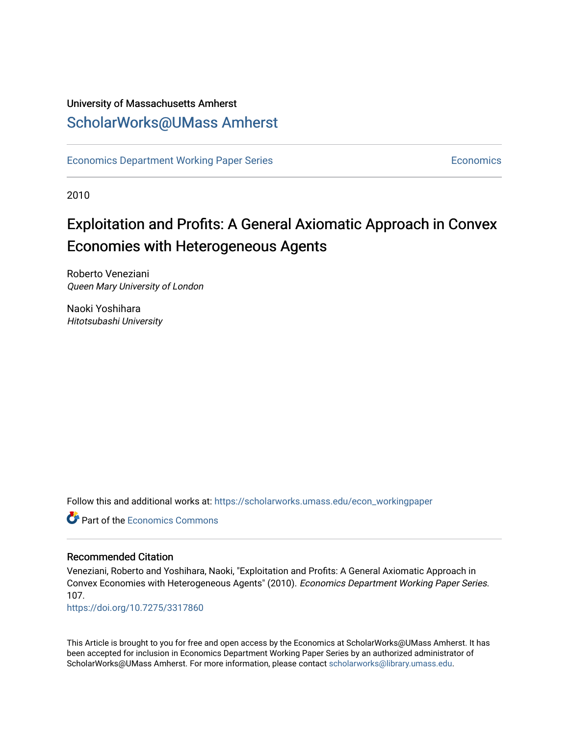### University of Massachusetts Amherst [ScholarWorks@UMass Amherst](https://scholarworks.umass.edu/)

[Economics Department Working Paper Series](https://scholarworks.umass.edu/econ_workingpaper) **Economics** [Economics](https://scholarworks.umass.edu/economics) Economics

2010

### Exploitation and Profits: A General Axiomatic Approach in Convex Economies with Heterogeneous Agents

Roberto Veneziani Queen Mary University of London

Naoki Yoshihara Hitotsubashi University

Follow this and additional works at: [https://scholarworks.umass.edu/econ\\_workingpaper](https://scholarworks.umass.edu/econ_workingpaper?utm_source=scholarworks.umass.edu%2Fecon_workingpaper%2F107&utm_medium=PDF&utm_campaign=PDFCoverPages) 

**C** Part of the [Economics Commons](http://network.bepress.com/hgg/discipline/340?utm_source=scholarworks.umass.edu%2Fecon_workingpaper%2F107&utm_medium=PDF&utm_campaign=PDFCoverPages)

#### Recommended Citation

Veneziani, Roberto and Yoshihara, Naoki, "Exploitation and Profits: A General Axiomatic Approach in Convex Economies with Heterogeneous Agents" (2010). Economics Department Working Paper Series. 107.

<https://doi.org/10.7275/3317860>

This Article is brought to you for free and open access by the Economics at ScholarWorks@UMass Amherst. It has been accepted for inclusion in Economics Department Working Paper Series by an authorized administrator of ScholarWorks@UMass Amherst. For more information, please contact [scholarworks@library.umass.edu.](mailto:scholarworks@library.umass.edu)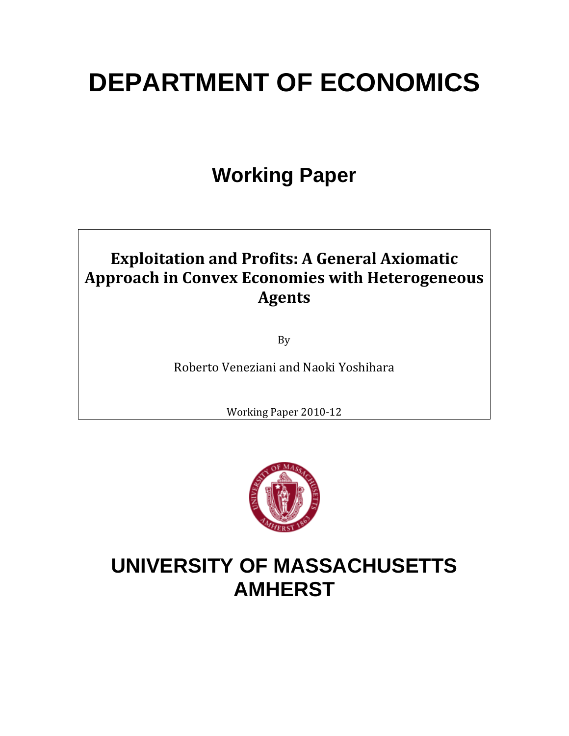# **DEPARTMENT OF ECONOMICS**

# **Working Paper**

### **Exploitation and Profits: A General Axiomatic Approach in Convex Economies with Heterogeneous Agents**

By

Roberto Veneziani and Naoki Yoshihara

Working Paper 2010‐12



## **UNIVERSITY OF MASSACHUSETTS AMHERST**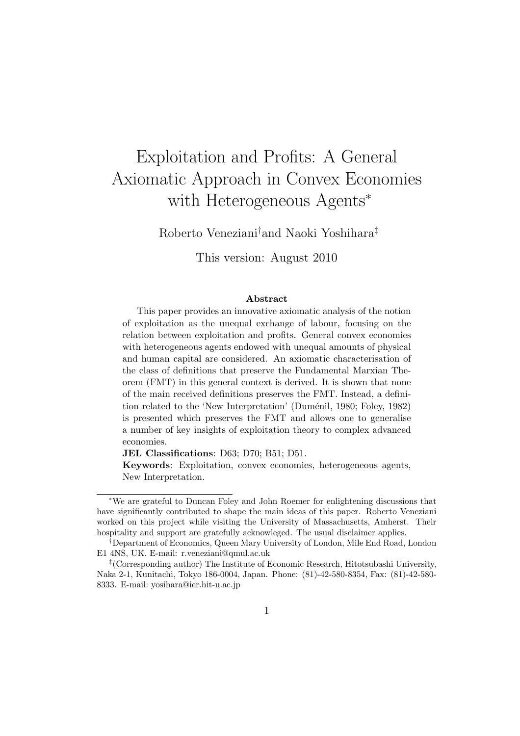### Exploitation and Profits: A General Axiomatic Approach in Convex Economies with Heterogeneous Agents<sup>∗</sup>

Roberto Veneziani†and Naoki Yoshihara‡

This version: August 2010

#### Abstract

This paper provides an innovative axiomatic analysis of the notion of exploitation as the unequal exchange of labour, focusing on the relation between exploitation and profits. General convex economies with heterogeneous agents endowed with unequal amounts of physical and human capital are considered. An axiomatic characterisation of the class of definitions that preserve the Fundamental Marxian Theorem (FMT) in this general context is derived. It is shown that none of the main received definitions preserves the FMT. Instead, a definition related to the 'New Interpretation' (Duménil, 1980; Foley, 1982) is presented which preserves the FMT and allows one to generalise a number of key insights of exploitation theory to complex advanced economies.

JEL Classifications: D63; D70; B51; D51.

Keywords: Exploitation, convex economies, heterogeneous agents, New Interpretation.

<sup>∗</sup>We are grateful to Duncan Foley and John Roemer for enlightening discussions that have significantly contributed to shape the main ideas of this paper. Roberto Veneziani worked on this project while visiting the University of Massachusetts, Amherst. Their hospitality and support are gratefully acknowleged. The usual disclaimer applies.

<sup>†</sup>Department of Economics, Queen Mary University of London, Mile End Road, London E1 4NS, UK. E-mail: r.veneziani@qmul.ac.uk

<sup>‡</sup> (Corresponding author) The Institute of Economic Research, Hitotsubashi University, Naka 2-1, Kunitachi, Tokyo 186-0004, Japan. Phone: (81)-42-580-8354, Fax: (81)-42-580- 8333. E-mail: yosihara@ier.hit-u.ac.jp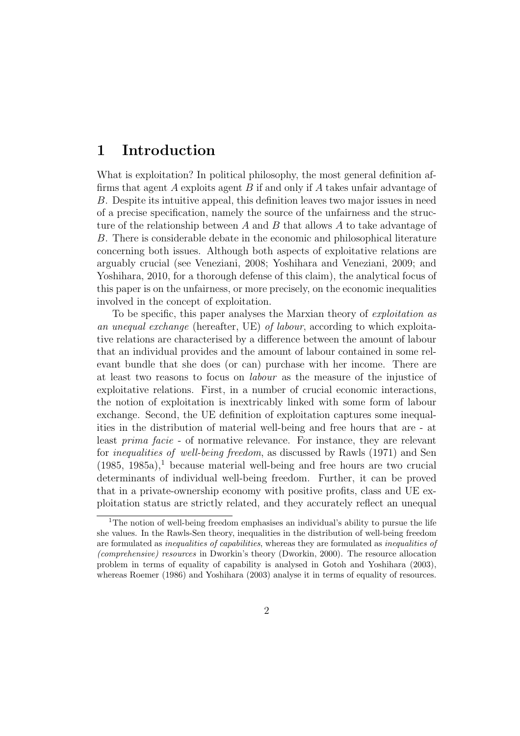### 1 Introduction

What is exploitation? In political philosophy, the most general definition affirms that agent A exploits agent B if and only if A takes unfair advantage of B. Despite its intuitive appeal, this definition leaves two major issues in need of a precise specification, namely the source of the unfairness and the structure of the relationship between A and B that allows A to take advantage of B. There is considerable debate in the economic and philosophical literature concerning both issues. Although both aspects of exploitative relations are arguably crucial (see Veneziani, 2008; Yoshihara and Veneziani, 2009; and Yoshihara, 2010, for a thorough defense of this claim), the analytical focus of this paper is on the unfairness, or more precisely, on the economic inequalities involved in the concept of exploitation.

To be specific, this paper analyses the Marxian theory of *exploitation* as an unequal exchange (hereafter, UE) of labour, according to which exploitative relations are characterised by a difference between the amount of labour that an individual provides and the amount of labour contained in some relevant bundle that she does (or can) purchase with her income. There are at least two reasons to focus on labour as the measure of the injustice of exploitative relations. First, in a number of crucial economic interactions, the notion of exploitation is inextricably linked with some form of labour exchange. Second, the UE definition of exploitation captures some inequalities in the distribution of material well-being and free hours that are - at least prima facie - of normative relevance. For instance, they are relevant for inequalities of well-being freedom, as discussed by Rawls (1971) and Sen  $(1985, 1985a)^{1}$  because material well-being and free hours are two crucial determinants of individual well-being freedom. Further, it can be proved that in a private-ownership economy with positive profits, class and UE exploitation status are strictly related, and they accurately reflect an unequal

<sup>&</sup>lt;sup>1</sup>The notion of well-being freedom emphasises an individual's ability to pursue the life she values. In the Rawls-Sen theory, inequalities in the distribution of well-being freedom are formulated as *inequalities* of *capabilities*, whereas they are formulated as *inequalities* of (comprehensive) resources in Dworkin's theory (Dworkin, 2000). The resource allocation problem in terms of equality of capability is analysed in Gotoh and Yoshihara (2003), whereas Roemer (1986) and Yoshihara (2003) analyse it in terms of equality of resources.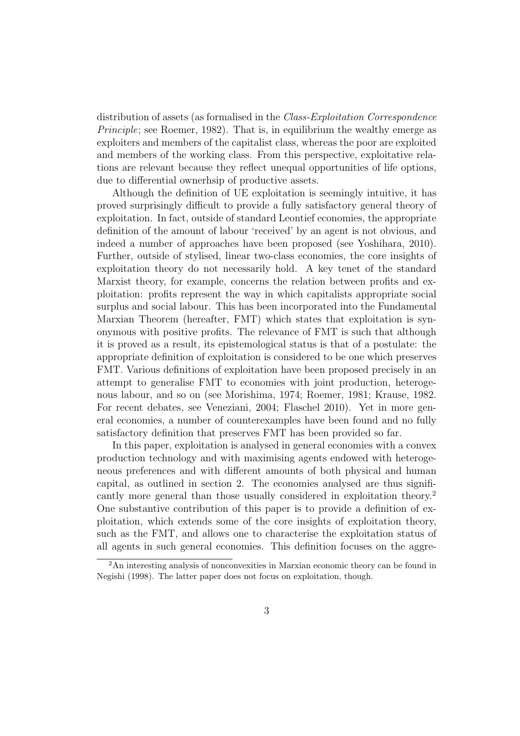distribution of assets (as formalised in the Class-Exploitation Correspondence Principle; see Roemer, 1982). That is, in equilibrium the wealthy emerge as exploiters and members of the capitalist class, whereas the poor are exploited and members of the working class. From this perspective, exploitative relations are relevant because they reflect unequal opportunities of life options, due to differential ownerhsip of productive assets.

Although the definition of UE exploitation is seemingly intuitive, it has proved surprisingly difficult to provide a fully satisfactory general theory of exploitation. In fact, outside of standard Leontief economies, the appropriate definition of the amount of labour 'received' by an agent is not obvious, and indeed a number of approaches have been proposed (see Yoshihara, 2010). Further, outside of stylised, linear two-class economies, the core insights of exploitation theory do not necessarily hold. A key tenet of the standard Marxist theory, for example, concerns the relation between profits and exploitation: profits represent the way in which capitalists appropriate social surplus and social labour. This has been incorporated into the Fundamental Marxian Theorem (hereafter, FMT) which states that exploitation is synonymous with positive profits. The relevance of FMT is such that although it is proved as a result, its epistemological status is that of a postulate: the appropriate definition of exploitation is considered to be one which preserves FMT. Various definitions of exploitation have been proposed precisely in an attempt to generalise FMT to economies with joint production, heterogenous labour, and so on (see Morishima, 1974; Roemer, 1981; Krause, 1982. For recent debates, see Veneziani, 2004; Flaschel 2010). Yet in more general economies, a number of counterexamples have been found and no fully satisfactory definition that preserves FMT has been provided so far.

In this paper, exploitation is analysed in general economies with a convex production technology and with maximising agents endowed with heterogeneous preferences and with different amounts of both physical and human capital, as outlined in section 2. The economies analysed are thus significantly more general than those usually considered in exploitation theory.<sup>2</sup> One substantive contribution of this paper is to provide a definition of exploitation, which extends some of the core insights of exploitation theory, such as the FMT, and allows one to characterise the exploitation status of all agents in such general economies. This definition focuses on the aggre-

<sup>2</sup>An interesting analysis of nonconvexities in Marxian economic theory can be found in Negishi (1998). The latter paper does not focus on exploitation, though.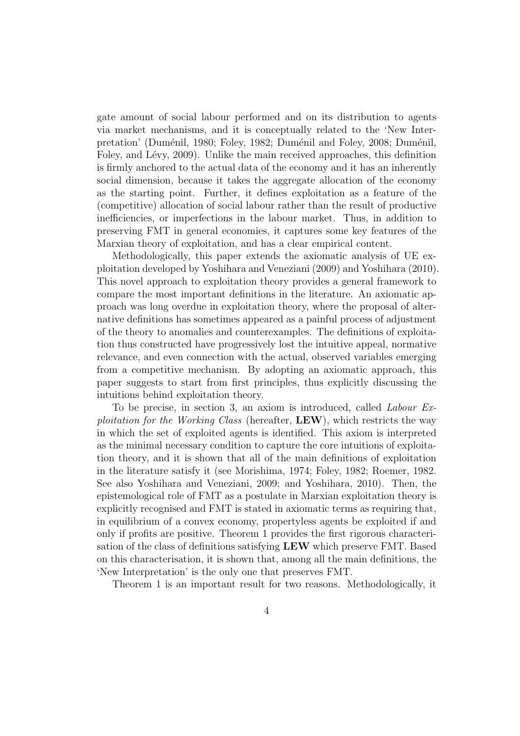gate amount of social labour performed and on its distribution to agents via market mechanisms, and it is conceptually related to the 'New Interpretation' (Duménil, 1980; Foley, 1982; Duménil and Foley, 2008; Duménil, Foley, and Lévy, 2009). Unlike the main received approaches, this definition is firmly anchored to the actual data of the economy and it has an inherently social dimension, because it takes the aggregate allocation of the economy as the starting point. Further, it defines exploitation as a feature of the (competitive) allocation of social labour rather than the result of productive inefficiencies, or imperfections in the labour market. Thus, in addition to preserving FMT in general economies, it captures some key features of the Marxian theory of exploitation, and has a clear empirical content.

Methodologically, this paper extends the axiomatic analysis of UE exploitation developed by Yoshihara and Veneziani (2009) and Yoshihara (2010). This novel approach to exploitation theory provides a general framework to compare the most important definitions in the literature. An axiomatic approach was long overdue in exploitation theory, where the proposal of alternative definitions has sometimes appeared as a painful process of adjustment of the theory to anomalies and counterexamples. The definitions of exploitation thus constructed have progressively lost the intuitive appeal, normative relevance, and even connection with the actual, observed variables emerging from a competitive mechanism. By adopting an axiomatic approach, this paper suggests to start from first principles, thus explicitly discussing the intuitions behind exploitation theory.

To be precise, in section 3, an axiom is introduced, called Labour Exploitation for the Working Class (hereafter,  $\mathbf{LEW}$ ), which restricts the way in which the set of exploited agents is identified. This axiom is interpreted as the minimal necessary condition to capture the core intuitions of exploitation theory, and it is shown that all of the main definitions of exploitation in the literature satisfy it (see Morishima, 1974; Foley, 1982; Roemer, 1982. See also Yoshihara and Veneziani, 2009; and Yoshihara, 2010). Then, the epistemological role of FMT as a postulate in Marxian exploitation theory is explicitly recognised and FMT is stated in axiomatic terms as requiring that, in equilibrium of a convex economy, propertyless agents be exploited if and only if profits are positive. Theorem 1 provides the first rigorous characterisation of the class of definitions satisfying LEW which preserve FMT. Based on this characterisation, it is shown that, among all the main definitions, the 'New Interpretation' is the only one that preserves FMT.

Theorem 1 is an important result for two reasons. Methodologically, it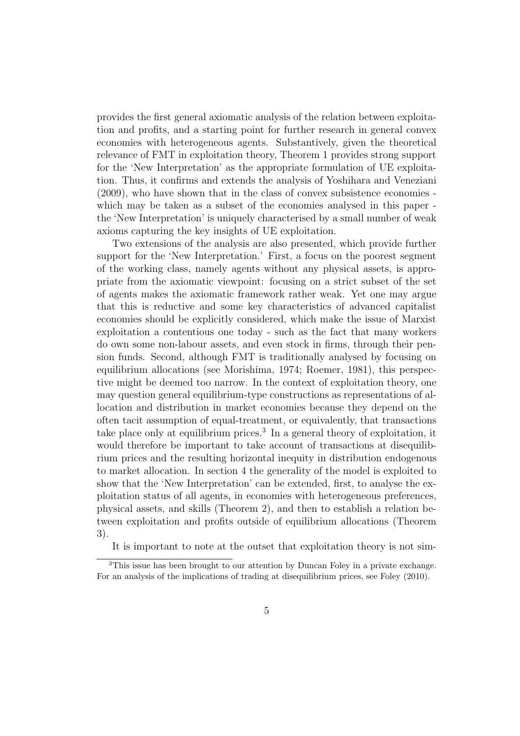provides the first general axiomatic analysis of the relation between exploitation and profits, and a starting point for further research in general convex economies with heterogeneous agents. Substantively, given the theoretical relevance of FMT in exploitation theory, Theorem 1 provides strong support for the 'New Interpretation' as the appropriate formulation of UE exploitation. Thus, it confirms and extends the analysis of Yoshihara and Veneziani (2009), who have shown that in the class of convex subsistence economies which may be taken as a subset of the economies analysed in this paper the 'New Interpretation' is uniquely characterised by a small number of weak axioms capturing the key insights of UE exploitation.

Two extensions of the analysis are also presented, which provide further support for the 'New Interpretation.' First, a focus on the poorest segment of the working class, namely agents without any physical assets, is appropriate from the axiomatic viewpoint: focusing on a strict subset of the set of agents makes the axiomatic framework rather weak. Yet one may argue that this is reductive and some key characteristics of advanced capitalist economies should be explicitly considered, which make the issue of Marxist exploitation a contentious one today - such as the fact that many workers do own some non-labour assets, and even stock in firms, through their pension funds. Second, although FMT is traditionally analysed by focusing on equilibrium allocations (see Morishima, 1974; Roemer, 1981), this perspective might be deemed too narrow. In the context of exploitation theory, one may question general equilibrium-type constructions as representations of allocation and distribution in market economies because they depend on the often tacit assumption of equal-treatment, or equivalently, that transactions take place only at equilibrium prices.<sup>3</sup> In a general theory of exploitation, it would therefore be important to take account of transactions at disequilibrium prices and the resulting horizontal inequity in distribution endogenous to market allocation. In section 4 the generality of the model is exploited to show that the 'New Interpretation' can be extended, first, to analyse the exploitation status of all agents, in economies with heterogeneous preferences, physical assets, and skills (Theorem 2), and then to establish a relation between exploitation and profits outside of equilibrium allocations (Theorem 3).

It is important to note at the outset that exploitation theory is not sim-

<sup>3</sup>This issue has been brought to our attention by Duncan Foley in a private exchange. For an analysis of the implications of trading at disequilibrium prices, see Foley (2010).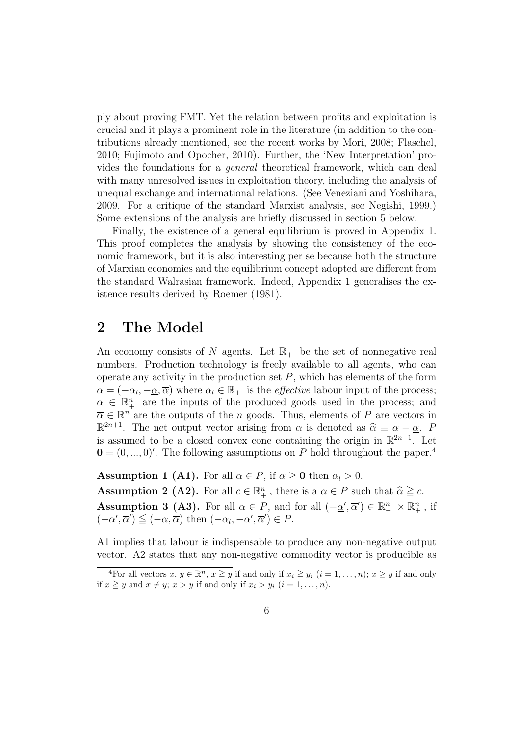ply about proving FMT. Yet the relation between profits and exploitation is crucial and it plays a prominent role in the literature (in addition to the contributions already mentioned, see the recent works by Mori, 2008; Flaschel, 2010; Fujimoto and Opocher, 2010). Further, the 'New Interpretation' provides the foundations for a general theoretical framework, which can deal with many unresolved issues in exploitation theory, including the analysis of unequal exchange and international relations. (See Veneziani and Yoshihara, 2009. For a critique of the standard Marxist analysis, see Negishi, 1999.) Some extensions of the analysis are briefly discussed in section 5 below.

Finally, the existence of a general equilibrium is proved in Appendix 1. This proof completes the analysis by showing the consistency of the economic framework, but it is also interesting per se because both the structure of Marxian economies and the equilibrium concept adopted are different from the standard Walrasian framework. Indeed, Appendix 1 generalises the existence results derived by Roemer (1981).

#### 2 The Model

An economy consists of N agents. Let  $\mathbb{R}_+$  be the set of nonnegative real numbers. Production technology is freely available to all agents, who can operate any activity in the production set  $P$ , which has elements of the form  $\alpha = (-\alpha_l, -\underline{\alpha}, \overline{\alpha})$  where  $\alpha_l \in \mathbb{R}_+$  is the *effective* labour input of the process;  $\alpha \in \mathbb{R}^n_+$  are the inputs of the produced goods used in the process; and  $\overline{\alpha} \in \mathbb{R}^n_+$  are the outputs of the *n* goods. Thus, elements of *P* are vectors in  $\mathbb{R}^{2n+1}$ . The net output vector arising from  $\alpha$  is denoted as  $\widehat{\alpha} \equiv \overline{\alpha} - \underline{\alpha}$ . P is assumed to be a closed convex cone containing the origin in  $\mathbb{R}^{2n+1}$ . Let  $\mathbf{0} = (0, ..., 0)$ . The following assumptions on P hold throughout the paper.<sup>4</sup>

**Assumption 1 (A1).** For all  $\alpha \in P$ , if  $\overline{\alpha} \ge 0$  then  $\alpha_l > 0$ . **Assumption 2 (A2).** For all  $c \in \mathbb{R}_+^n$ , there is a  $\alpha \in P$  such that  $\widehat{\alpha} \geq c$ . Assumption 3 (A3). For all  $\alpha \in P$ , and for all  $(-\underline{\alpha}', \overline{\alpha}') \in \mathbb{R}^n$ ,  $\times \mathbb{R}^n_+$ , if  $(-\underline{\alpha}', \overline{\alpha}') \leq (-\underline{\alpha}, \overline{\alpha}) \text{ then } (-\alpha_l, -\underline{\alpha}', \overline{\alpha}') \in P.$ 

A1 implies that labour is indispensable to produce any non-negative output vector. A2 states that any non-negative commodity vector is producible as

<sup>&</sup>lt;sup>4</sup>For all vectors  $x, y \in \mathbb{R}^n$ ,  $x \geq y$  if and only if  $x_i \geq y_i$   $(i = 1, \ldots, n)$ ;  $x \geq y$  if and only if  $x \geq y$  and  $x \neq y$ ;  $x > y$  if and only if  $x_i > y_i$   $(i = 1, \ldots, n)$ .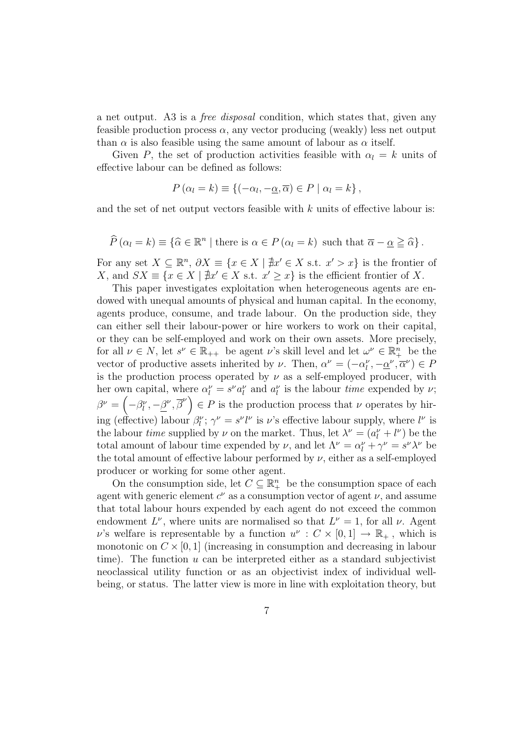a net output. A3 is a free disposal condition, which states that, given any feasible production process  $\alpha$ , any vector producing (weakly) less net output than  $\alpha$  is also feasible using the same amount of labour as  $\alpha$  itself.

Given P, the set of production activities feasible with  $\alpha_l = k$  units of effective labour can be defined as follows:

$$
P(\alpha_l = k) \equiv \{(-\alpha_l, -\underline{\alpha}, \overline{\alpha}) \in P \mid \alpha_l = k\},\
$$

and the set of net output vectors feasible with  $k$  units of effective labour is:

$$
\widehat{P}(\alpha_l = k) \equiv \{ \widehat{\alpha} \in \mathbb{R}^n \mid \text{there is } \alpha \in P(\alpha_l = k) \text{ such that } \overline{\alpha} - \underline{\alpha} \geq \widehat{\alpha} \}.
$$

For any set  $X \subseteq \mathbb{R}^n$ ,  $\partial X \equiv \{x \in X \mid \nexists x' \in X \text{ s.t. } x' > x\}$  is the frontier of X, and  $SX \equiv \{x \in X \mid \nexists x' \in X \text{ s.t. } x' \geq x\}$  is the efficient frontier of X.

This paper investigates exploitation when heterogeneous agents are endowed with unequal amounts of physical and human capital. In the economy, agents produce, consume, and trade labour. On the production side, they can either sell their labour-power or hire workers to work on their capital, or they can be self-employed and work on their own assets. More precisely, for all  $\nu \in N$ , let  $s^{\nu} \in \mathbb{R}_{++}$  be agent  $\nu$ 's skill level and let  $\omega^{\nu} \in \mathbb{R}_{+}^{n}$  be the vector of productive assets inherited by  $\nu$ . Then,  $\alpha^{\nu} = (-\alpha_l^{\nu}, -\underline{\alpha}^{\nu}, \overline{\alpha}^{\nu}) \in P$ is the production process operated by  $\nu$  as a self-employed producer, with her own capital, where  $\alpha_l^{\nu} = s^{\nu} a_l^{\nu}$  and  $a_l^{\nu}$  is the labour *time* expended by  $\nu$ ;  $\beta^{\nu} = (-\beta_l^{\nu}, -\underline{\beta}^{\nu}, \overline{\beta}^{\nu}) \in P$  is the production process that  $\nu$  operates by hiring (effective) labour  $\beta_l^{\nu}$ ;  $\gamma^{\nu} = s^{\nu} l^{\nu}$  is  $\nu$ 's effective labour supply, where  $l^{\nu}$  is the labour *time* supplied by  $\nu$  on the market. Thus, let  $\lambda^{\nu} = (a_l^{\nu} + l^{\nu})$  be the total amount of labour time expended by  $\nu$ , and let  $\Lambda^{\nu} = \alpha^{\nu}_l + \gamma^{\nu} = s^{\nu} \lambda^{\nu}$  be the total amount of effective labour performed by  $\nu$ , either as a self-employed producer or working for some other agent.

On the consumption side, let  $C \subseteq \mathbb{R}^n_+$  be the consumption space of each agent with generic element  $c^{\nu}$  as a consumption vector of agent  $\nu$ , and assume that total labour hours expended by each agent do not exceed the common endowment  $L^{\nu}$ , where units are normalised so that  $L^{\nu} = 1$ , for all  $\nu$ . Agent v's welfare is representable by a function  $u^{\nu} : C \times [0,1] \to \mathbb{R}_+$ , which is monotonic on  $C \times [0, 1]$  (increasing in consumption and decreasing in labour time). The function  $u$  can be interpreted either as a standard subjectivist neoclassical utility function or as an objectivist index of individual wellbeing, or status. The latter view is more in line with exploitation theory, but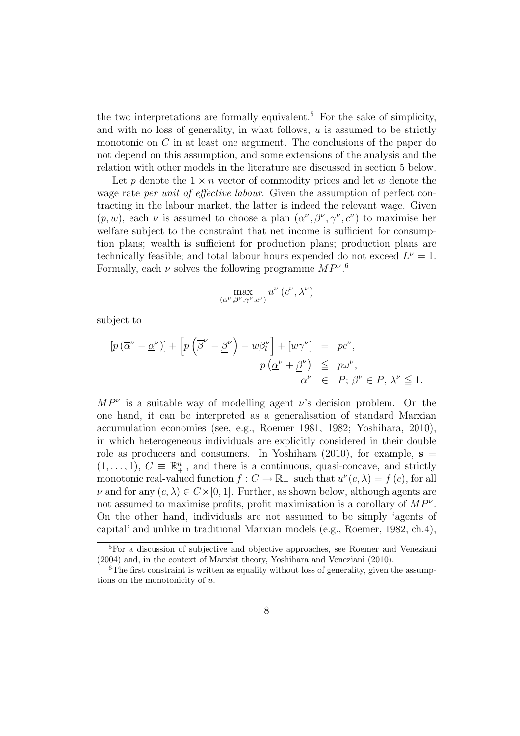the two interpretations are formally equivalent.<sup>5</sup> For the sake of simplicity, and with no loss of generality, in what follows,  $u$  is assumed to be strictly monotonic on  $C$  in at least one argument. The conclusions of the paper do not depend on this assumption, and some extensions of the analysis and the relation with other models in the literature are discussed in section 5 below.

Let p denote the  $1 \times n$  vector of commodity prices and let w denote the wage rate *per unit of effective labour*. Given the assumption of perfect contracting in the labour market, the latter is indeed the relevant wage. Given  $(p, w)$ , each  $\nu$  is assumed to choose a plan  $(\alpha^{\nu}, \beta^{\nu}, \gamma^{\nu}, c^{\nu})$  to maximise her welfare subject to the constraint that net income is sufficient for consumption plans; wealth is sufficient for production plans; production plans are technically feasible; and total labour hours expended do not exceed  $L^{\nu} = 1$ . Formally, each  $\nu$  solves the following programme  $MP^{\nu}$ .<sup>6</sup>

$$
\max_{(\alpha^{\nu},\beta^{\nu},\gamma^{\nu},c^{\nu})}u^{\nu}\left(c^{\nu},\lambda^{\nu}\right)
$$

subject to

$$
[p(\overline{\alpha}^{\nu} - \underline{\alpha}^{\nu})] + [p(\overline{\beta}^{\nu} - \underline{\beta}^{\nu}) - w\beta_{l}^{\nu}] + [w\gamma^{\nu}] = pc^{\nu},
$$
  

$$
p(\underline{\alpha}^{\nu} + \underline{\beta}^{\nu}) \leq p\omega^{\nu},
$$
  

$$
\alpha^{\nu} \in P; \beta^{\nu} \in P, \lambda^{\nu} \leq 1.
$$

 $MP^{\nu}$  is a suitable way of modelling agent  $\nu$ 's decision problem. On the one hand, it can be interpreted as a generalisation of standard Marxian accumulation economies (see, e.g., Roemer 1981, 1982; Yoshihara, 2010), in which heterogeneous individuals are explicitly considered in their double role as producers and consumers. In Yoshihara  $(2010)$ , for example,  $s =$  $(1, \ldots, 1), C \equiv \mathbb{R}^n_+$ , and there is a continuous, quasi-concave, and strictly monotonic real-valued function  $f: C \to \mathbb{R}_+$  such that  $u^{\nu}(c, \lambda) = f(c)$ , for all  $\nu$  and for any  $(c, \lambda) \in C \times [0, 1]$ . Further, as shown below, although agents are not assumed to maximise profits, profit maximisation is a corollary of  $MP^{\nu}$ . On the other hand, individuals are not assumed to be simply 'agents of capital' and unlike in traditional Marxian models (e.g., Roemer, 1982, ch.4),

<sup>5</sup>For a discussion of subjective and objective approaches, see Roemer and Veneziani (2004) and, in the context of Marxist theory, Yoshihara and Veneziani (2010).

<sup>&</sup>lt;sup>6</sup>The first constraint is written as equality without loss of generality, given the assumptions on the monotonicity of u.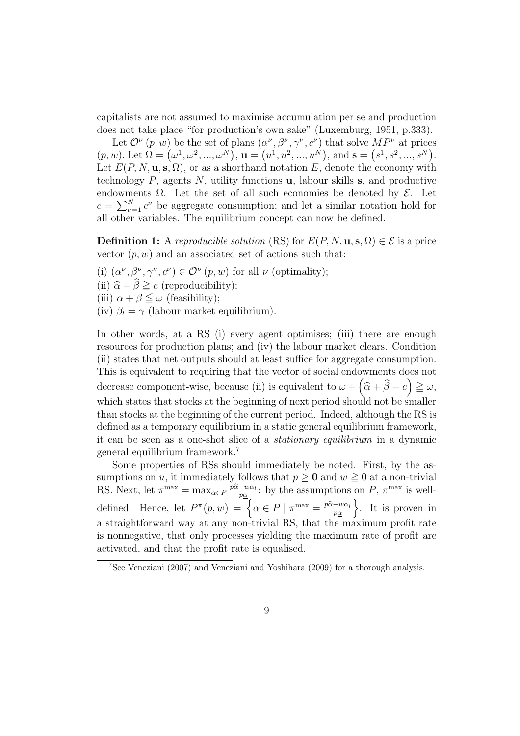capitalists are not assumed to maximise accumulation per se and production does not take place "for production's own sake" (Luxemburg, 1951, p.333).

Let  $\mathcal{O}^{\nu}(p, w)$  be the set of plans  $(\alpha^{\nu}, \beta^{\nu}, \gamma^{\nu}, c^{\nu})$  that solve  $MP^{\nu}$  at prices Let  $O^e(p, w)$  be the set of plans  $(\alpha^e, \beta^e, \gamma^e, \alpha^e)$  that solve  $MP^e$  at prices  $(p, w)$ . Let  $\Omega = (\omega^1, \omega^2, ..., \omega^N)$ ,  $\mathbf{u} = (u^1, u^2, ..., u^N)$ , and  $\mathbf{s} = (s^1, s^2, ..., s^N)$ . Let  $E(P, N, \mathbf{u}, \mathbf{s}, \Omega)$ , or as a shorthand notation E, denote the economy with technology  $P$ , agents  $N$ , utility functions **u**, labour skills **s**, and productive endowments  $\Omega$ . Let the set of all such economies be denoted by  $\mathcal{E}$ . Let endowm<br> $c = \sum_{\nu}^{N}$  $\sum_{\nu=1}^{N} c^{\nu}$  be aggregate consumption; and let a similar notation hold for all other variables. The equilibrium concept can now be defined.

**Definition 1:** A reproducible solution (RS) for  $E(P, N, \mathbf{u}, \mathbf{s}, \Omega) \in \mathcal{E}$  is a price vector  $(p, w)$  and an associated set of actions such that:

(i)  $(\alpha^{\nu}, \beta^{\nu}, \gamma^{\nu}, c^{\nu}) \in \mathcal{O}^{\nu}(p, w)$  for all  $\nu$  (optimality); (ii)  $\widehat{\alpha} + \widehat{\beta} \geq c$  (reproducibility); (iii)  $\alpha + \beta \leq \omega$  (feasibility);

(iv)  $\beta_l = \gamma$  (labour market equilibrium).

In other words, at a RS (i) every agent optimises; (iii) there are enough resources for production plans; and (iv) the labour market clears. Condition (ii) states that net outputs should at least suffice for aggregate consumption. This is equivalent to requiring that the vector of social endowments does not decrease component-wise, because (ii) is equivalent to  $\omega + (\widehat{\alpha} + \widehat{\beta} - c) \geq \omega$ , which states that stocks at the beginning of next period should not be smaller than stocks at the beginning of the current period. Indeed, although the RS is defined as a temporary equilibrium in a static general equilibrium framework, it can be seen as a one-shot slice of a stationary equilibrium in a dynamic general equilibrium framework.<sup>7</sup>

Some properties of RSs should immediately be noted. First, by the assumptions on u, it immediately follows that  $p \ge 0$  and  $w \ge 0$  at a non-trivial RS. Next, let  $\pi^{\max} = \max_{\alpha \in P} \frac{\hat{p} \hat{\alpha} - w \alpha_l}{n \alpha_l}$  $\frac{-w\alpha_l}{p\alpha}$ : by the assumptions on P,  $\pi^{\max}$  is welldefined. Hence, let  $P^{\pi}(p, w) = \begin{cases} \alpha \in P | \pi^{\max} = \frac{p\hat{\alpha} - w\alpha}{n\alpha} \end{cases}$  $\left\{\frac{-w\alpha_l}{p\alpha}\right\}$ . It is proven in a straightforward way at any non-trivial RS, that the maximum profit rate is nonnegative, that only processes yielding the maximum rate of profit are activated, and that the profit rate is equalised.

<sup>7</sup>See Veneziani (2007) and Veneziani and Yoshihara (2009) for a thorough analysis.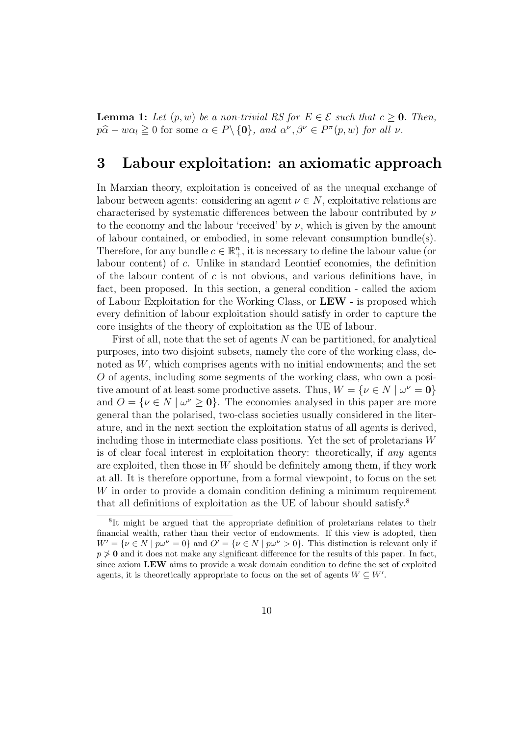**Lemma 1:** Let  $(p, w)$  be a non-trivial RS for  $E \in \mathcal{E}$  such that  $c > 0$ . Then,  $p\hat{\alpha} - w\alpha_l \geq 0$  for some  $\alpha \in P \setminus \{0\}$ , and  $\alpha^{\nu}, \beta^{\nu} \in P^{\pi}(p, w)$  for all  $\nu$ .

#### 3 Labour exploitation: an axiomatic approach

In Marxian theory, exploitation is conceived of as the unequal exchange of labour between agents: considering an agent  $\nu \in N$ , exploitative relations are characterised by systematic differences between the labour contributed by  $\nu$ to the economy and the labour 'received' by  $\nu$ , which is given by the amount of labour contained, or embodied, in some relevant consumption bundle(s). Therefore, for any bundle  $c \in \mathbb{R}^n_+$ , it is necessary to define the labour value (or labour content) of c. Unlike in standard Leontief economies, the definition of the labour content of  $c$  is not obvious, and various definitions have, in fact, been proposed. In this section, a general condition - called the axiom of Labour Exploitation for the Working Class, or LEW - is proposed which every definition of labour exploitation should satisfy in order to capture the core insights of the theory of exploitation as the UE of labour.

First of all, note that the set of agents  $N$  can be partitioned, for analytical purposes, into two disjoint subsets, namely the core of the working class, denoted as W, which comprises agents with no initial endowments; and the set O of agents, including some segments of the working class, who own a positive amount of at least some productive assets. Thus,  $W = \{ \nu \in N \mid \omega^{\nu} = 0 \}$ and  $O = \{ \nu \in N \mid \omega^{\nu} \geq 0 \}.$  The economies analysed in this paper are more general than the polarised, two-class societies usually considered in the literature, and in the next section the exploitation status of all agents is derived, including those in intermediate class positions. Yet the set of proletarians W is of clear focal interest in exploitation theory: theoretically, if any agents are exploited, then those in  $W$  should be definitely among them, if they work at all. It is therefore opportune, from a formal viewpoint, to focus on the set W in order to provide a domain condition defining a minimum requirement that all definitions of exploitation as the UE of labour should satisfy.<sup>8</sup>

<sup>&</sup>lt;sup>8</sup>It might be argued that the appropriate definition of proletarians relates to their financial wealth, rather than their vector of endowments. If this view is adopted, then  $W' = \{ \nu \in N \mid p\omega^{\nu} = 0 \}$  and  $O' = \{ \nu \in N \mid p\omega^{\nu} > 0 \}$ . This distinction is relevant only if  $p \ngeq 0$  and it does not make any significant difference for the results of this paper. In fact, since axiom LEW aims to provide a weak domain condition to define the set of exploited agents, it is theoretically appropriate to focus on the set of agents  $W \subseteq W'$ .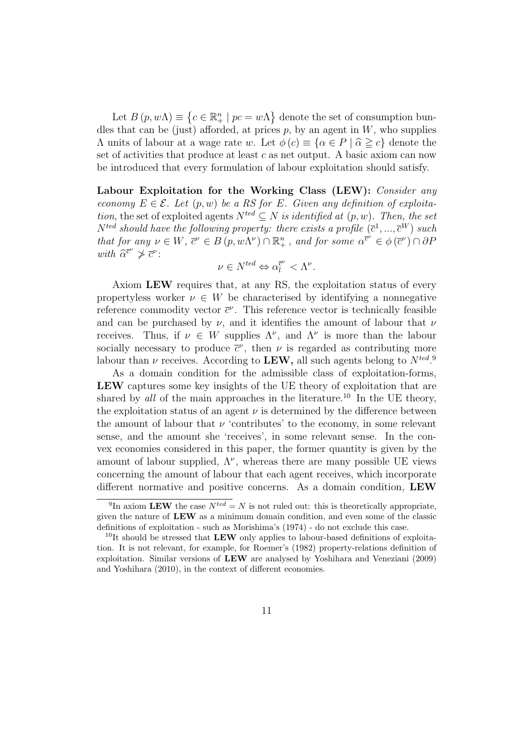Let  $B(p, w\Lambda) \equiv$  $\overline{a}$  $c \in \mathbb{R}^n_+ \mid pc = w\Lambda$ ª denote the set of consumption bundles that can be (just) afforded, at prices  $p$ , by an agent in  $W$ , who supplies Λ units of labour at a wage rate w. Let  $\phi$  (*c*)  $\equiv$  {α ∈ *P* |  $\hat{\alpha} \ge c$ } denote the set of activities that produce at least  $c$  as net output. A basic axiom can now be introduced that every formulation of labour exploitation should satisfy.

Labour Exploitation for the Working Class (LEW): Consider any economy  $E \in \mathcal{E}$ . Let  $(p, w)$  be a RS for E. Given any definition of exploitation, the set of exploited agents  $N^{ted} \subseteq N$  is identified at  $(p, w)$ . Then, the set  $N^{ted}$  should have the following property: there exists a profile  $(\bar{c}^1, ..., \bar{c}^W)$  such that for any  $\nu \in W$ ,  $\overline{c}^{\nu} \in B(p, w\Lambda^{\nu}) \cap \mathbb{R}^n_+$ , and for some  $\alpha^{\overline{c}^{\nu}} \in \phi(\overline{c}^{\nu}) \cap \partial P$ with  $\widehat{\alpha}^{\overline{c}^{\nu}} \neq \overline{c}^{\nu}$ :

$$
\nu \in N^{ted} \Leftrightarrow \alpha_l^{\bar{c}^{\nu}} < \Lambda^{\nu}.
$$

Axiom LEW requires that, at any RS, the exploitation status of every propertyless worker  $\nu \in W$  be characterised by identifying a nonnegative reference commodity vector  $\bar{c}^{\nu}$ . This reference vector is technically feasible and can be purchased by  $\nu$ , and it identifies the amount of labour that  $\nu$ receives. Thus, if  $\nu \in W$  supplies  $\Lambda^{\nu}$ , and  $\Lambda^{\nu}$  is more than the labour socially necessary to produce  $\bar{c}^{\nu}$ , then  $\nu$  is regarded as contributing more labour than  $\nu$  receives. According to LEW, all such agents belong to  $N^{ted}$ .

As a domain condition for the admissible class of exploitation-forms, LEW captures some key insights of the UE theory of exploitation that are shared by all of the main approaches in the literature.<sup>10</sup> In the UE theory, the exploitation status of an agent  $\nu$  is determined by the difference between the amount of labour that  $\nu$  'contributes' to the economy, in some relevant sense, and the amount she 'receives', in some relevant sense. In the convex economies considered in this paper, the former quantity is given by the amount of labour supplied,  $\Lambda^{\nu}$ , whereas there are many possible UE views concerning the amount of labour that each agent receives, which incorporate different normative and positive concerns. As a domain condition, LEW

<sup>&</sup>lt;sup>9</sup>In axiom LEW the case  $N^{ted} = N$  is not ruled out: this is theoretically appropriate, given the nature of LEW as a minimum domain condition, and even some of the classic definitions of exploitation - such as Morishima's (1974) - do not exclude this case.

<sup>&</sup>lt;sup>10</sup>It should be stressed that LEW only applies to labour-based definitions of exploitation. It is not relevant, for example, for Roemer's (1982) property-relations definition of exploitation. Similar versions of LEW are analysed by Yoshihara and Veneziani (2009) and Yoshihara (2010), in the context of different economies.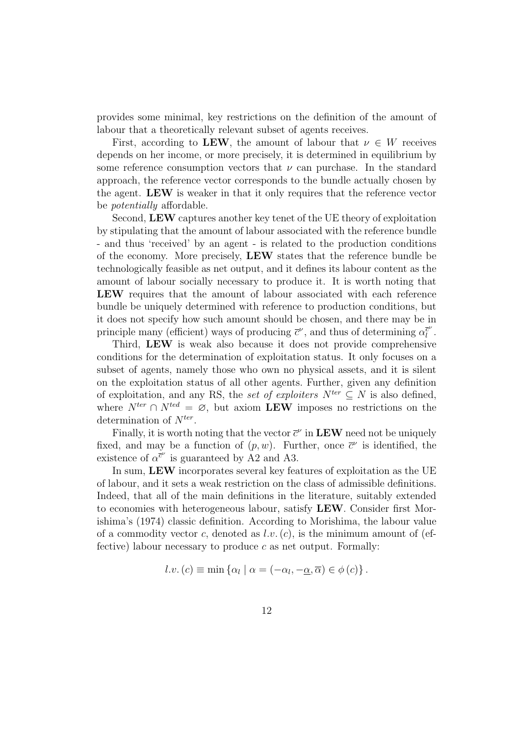provides some minimal, key restrictions on the definition of the amount of labour that a theoretically relevant subset of agents receives.

First, according to LEW, the amount of labour that  $\nu \in W$  receives depends on her income, or more precisely, it is determined in equilibrium by some reference consumption vectors that  $\nu$  can purchase. In the standard approach, the reference vector corresponds to the bundle actually chosen by the agent. LEW is weaker in that it only requires that the reference vector be potentially affordable.

Second, LEW captures another key tenet of the UE theory of exploitation by stipulating that the amount of labour associated with the reference bundle - and thus 'received' by an agent - is related to the production conditions of the economy. More precisely, LEW states that the reference bundle be technologically feasible as net output, and it defines its labour content as the amount of labour socially necessary to produce it. It is worth noting that LEW requires that the amount of labour associated with each reference bundle be uniquely determined with reference to production conditions, but it does not specify how such amount should be chosen, and there may be in principle many (efficient) ways of producing  $\bar{c}^{\nu}$ , and thus of determining  $\alpha_{l}^{\bar{c}^{\nu}}$  $\bar{\bar l}^{\nu}$  .

Third, LEW is weak also because it does not provide comprehensive conditions for the determination of exploitation status. It only focuses on a subset of agents, namely those who own no physical assets, and it is silent on the exploitation status of all other agents. Further, given any definition of exploitation, and any RS, the set of exploiters  $N^{ter} \subseteq N$  is also defined, where  $N^{ter} \cap N^{ted} = \mathcal{O}$ , but axiom  $\mathbf{LEW}$  imposes no restrictions on the determination of  $N^{ter}$ .

Finally, it is worth noting that the vector  $\bar{c}^{\nu}$  in LEW need not be uniquely fixed, and may be a function of  $(p, w)$ . Further, once  $\bar{c}^{\nu}$  is identified, the existence of  $\alpha^{\bar{c}^{\nu}}$  is guaranteed by A2 and A3.

In sum, LEW incorporates several key features of exploitation as the UE of labour, and it sets a weak restriction on the class of admissible definitions. Indeed, that all of the main definitions in the literature, suitably extended to economies with heterogeneous labour, satisfy LEW. Consider first Morishima's (1974) classic definition. According to Morishima, the labour value of a commodity vector c, denoted as  $l.v. (c)$ , is the minimum amount of (effective) labour necessary to produce  $c$  as net output. Formally:

$$
l.v. (c) \equiv \min \{ \alpha_l \mid \alpha_l - (\alpha_l, -\alpha_l, \overline{\alpha}) \in \phi(c) \}.
$$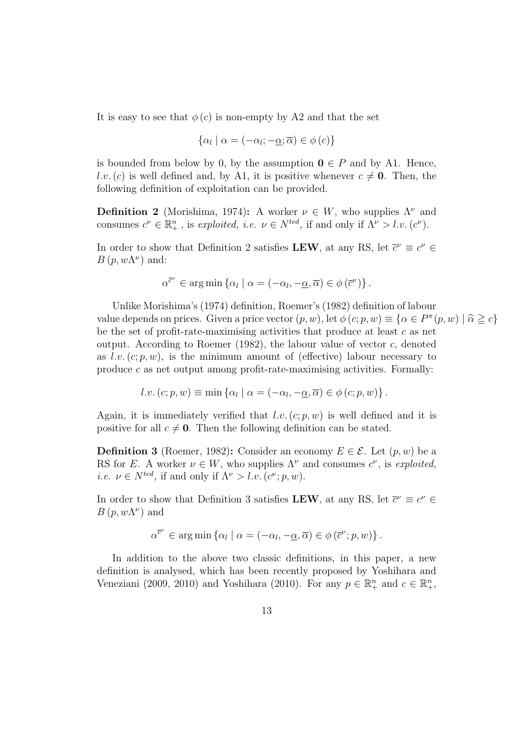It is easy to see that  $\phi(c)$  is non-empty by A2 and that the set

$$
\{\alpha_l \mid \alpha = (-\alpha_l; -\underline{\alpha}; \overline{\alpha}) \in \phi(c)\}\
$$

is bounded from below by 0, by the assumption  $\mathbf{0} \in P$  and by A1. Hence, l.v.(c) is well defined and, by A1, it is positive whenever  $c \neq 0$ . Then, the following definition of exploitation can be provided.

**Definition 2** (Morishima, 1974): A worker  $\nu \in W$ , who supplies  $\Lambda^{\nu}$  and consumes  $c^{\nu} \in \mathbb{R}^n_+$ , is exploited, i.e.  $\nu \in N^{ted}$ , if and only if  $\Lambda^{\nu} > l.v.$   $(c^{\nu})$ .

In order to show that Definition 2 satisfies LEW, at any RS, let  $\bar{c}^{\nu} \equiv c^{\nu} \in$  $B(p, w\Lambda^{\nu})$  and:

$$
\alpha^{\overline{c}^{\nu}} \in \arg\min \{ \alpha_l \mid \alpha = (-\alpha_l, -\underline{\alpha}, \overline{\alpha}) \in \phi(\overline{c}^{\nu}) \}.
$$

Unlike Morishima's (1974) definition, Roemer's (1982) definition of labour value depends on prices. Given a price vector  $(p, w)$ , let  $\phi(c; p, w) \equiv {\alpha \in P^{\pi}(p, w) | \hat{\alpha} \geq c}$ be the set of profit-rate-maximising activities that produce at least  $c$  as net output. According to Roemer  $(1982)$ , the labour value of vector c, denoted as l.v.  $(c; p, w)$ , is the minimum amount of (effective) labour necessary to produce c as net output among profit-rate-maximising activities. Formally:

$$
l.v. (c; p, w) \equiv \min \{ \alpha_l \mid \alpha_l = (-\alpha_l, -\underline{\alpha}, \overline{\alpha}) \in \phi (c; p, w) \}.
$$

Again, it is immediately verified that  $l.v. (c; p, w)$  is well defined and it is positive for all  $c \neq 0$ . Then the following definition can be stated.

**Definition 3** (Roemer, 1982): Consider an economy  $E \in \mathcal{E}$ . Let  $(p, w)$  be a RS for E. A worker  $\nu \in W$ , who supplies  $\Lambda^{\nu}$  and consumes  $c^{\nu}$ , is exploited, *i.e.*  $\nu \in N^{ted}$ , if and only if  $\Lambda^{\nu} > l.v.$   $(c^{\nu}; p, w)$ .

In order to show that Definition 3 satisfies LEW, at any RS, let  $\bar{c}^{\nu} \equiv c^{\nu} \in$  $B(p, w\Lambda^{\nu})$  and

$$
\alpha^{\bar{c}^{\nu}} \in \arg\min \left\{ \alpha_l \mid \alpha = (-\alpha_l, -\underline{\alpha}, \overline{\alpha}) \in \phi(\bar{c}^{\nu}; p, w) \right\}.
$$

In addition to the above two classic definitions, in this paper, a new definition is analysed, which has been recently proposed by Yoshihara and Veneziani (2009, 2010) and Yoshihara (2010). For any  $p \in \mathbb{R}^n_+$  and  $c \in \mathbb{R}^n_+$ ,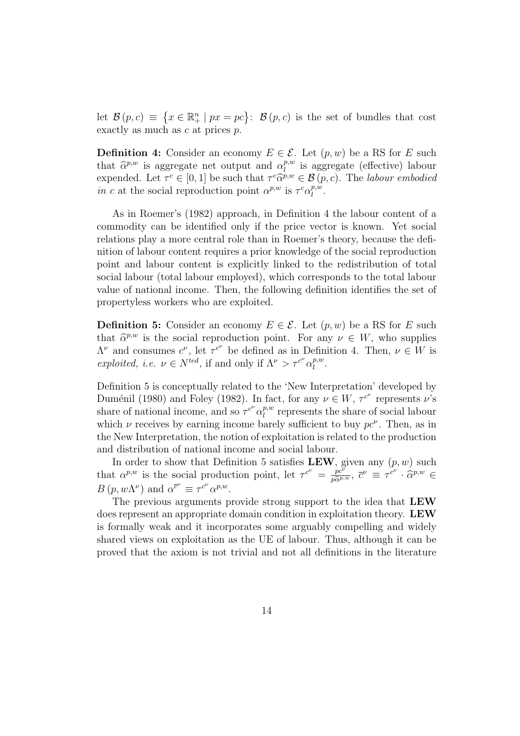let  $\mathcal{B}(p,c) \equiv$  $\overline{a}$  $x \in \mathbb{R}^n_+ \mid px = pc$ :  $\mathcal{B}(p, c)$  is the set of bundles that cost exactly as much as c at prices p.

**Definition 4:** Consider an economy  $E \in \mathcal{E}$ . Let  $(p, w)$  be a RS for E such that  $\widehat{\alpha}^{p,w}$  is aggregate net output and  $\alpha_1^{p,w}$  $l_l^{p,w}$  is aggregate (effective) labour expended. Let  $\tau^c \in [0,1]$  be such that  $\tau^c \widehat{\alpha}^{p,w} \in \mathcal{B}(p,c)$ . The *labour embodied* in c at the social reproduction point  $\alpha^{p,w}$  is  $\tau^c \alpha_l^{p,w}$  $_{l}^{p,w}.$ 

As in Roemer's (1982) approach, in Definition 4 the labour content of a commodity can be identified only if the price vector is known. Yet social relations play a more central role than in Roemer's theory, because the definition of labour content requires a prior knowledge of the social reproduction point and labour content is explicitly linked to the redistribution of total social labour (total labour employed), which corresponds to the total labour value of national income. Then, the following definition identifies the set of propertyless workers who are exploited.

**Definition 5:** Consider an economy  $E \in \mathcal{E}$ . Let  $(p, w)$  be a RS for E such that  $\hat{\alpha}^{p,w}$  is the social reproduction point. For any  $\nu \in W$ , who supplies  $\Lambda^{\nu}$  and consumes  $c^{\nu}$ , let  $\tau^{c^{\nu}}$  be defined as in Definition 4. Then,  $\nu \in W$  is exploited, i.e.  $\nu \in N^{ted}$ , if and only if  $\Lambda^{\nu} > \tau^{c^{\nu}} \alpha_{l}^{p,w}$  $_{l}^{p,w}.$ 

Definition 5 is conceptually related to the 'New Interpretation' developed by Duménil (1980) and Foley (1982). In fact, for any  $\nu \in W$ ,  $\tau^{c^{\nu}}$  represents  $\nu$ 's share of national income, and so  $\tau^{c^{\nu}} \alpha_l^{p,w}$  $l_l^{p,w}$  represents the share of social labour which  $\nu$  receives by earning income barely sufficient to buy  $pc^{\nu}$ . Then, as in the New Interpretation, the notion of exploitation is related to the production and distribution of national income and social labour.

In order to show that Definition 5 satisfies LEW, given any  $(p, w)$  such that  $\alpha^{p,w}$  is the social production point, let  $\tau^{c^{\nu}} = \frac{pc^{\nu}}{p\hat{\alpha}^{p,w}}$ ,  $\overline{c}^{\nu} \equiv \tau^{c^{\nu}} \cdot \hat{\alpha}^{p,w} \in$  $B(p, w\Lambda^{\nu})$  and  $\alpha^{\overline{c}^{\nu}} \equiv \tau^{c^{\nu}} \alpha^{p,w}$ .

The previous arguments provide strong support to the idea that LEW does represent an appropriate domain condition in exploitation theory. LEW is formally weak and it incorporates some arguably compelling and widely shared views on exploitation as the UE of labour. Thus, although it can be proved that the axiom is not trivial and not all definitions in the literature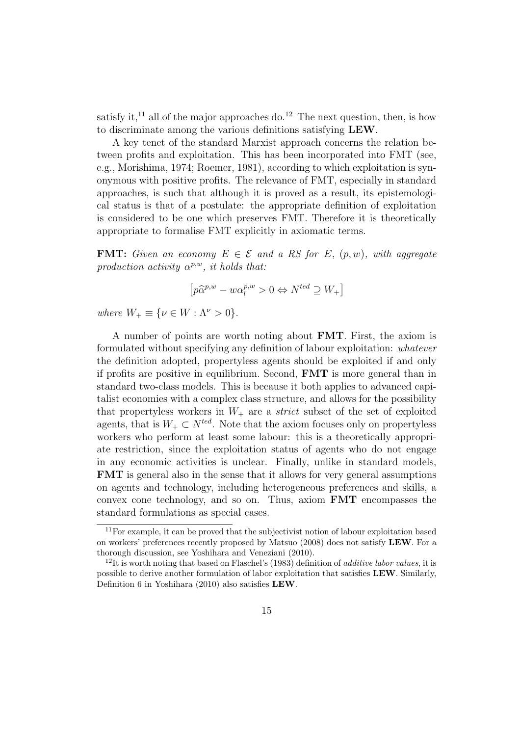satisfy it,<sup>11</sup> all of the major approaches do.<sup>12</sup> The next question, then, is how to discriminate among the various definitions satisfying LEW.

A key tenet of the standard Marxist approach concerns the relation between profits and exploitation. This has been incorporated into FMT (see, e.g., Morishima, 1974; Roemer, 1981), according to which exploitation is synonymous with positive profits. The relevance of FMT, especially in standard approaches, is such that although it is proved as a result, its epistemological status is that of a postulate: the appropriate definition of exploitation is considered to be one which preserves FMT. Therefore it is theoretically appropriate to formalise FMT explicitly in axiomatic terms.

**FMT:** Given an economy  $E \in \mathcal{E}$  and a RS for E,  $(p, w)$ , with aggregate production activity  $\alpha^{p,w}$ , it holds that:

$$
\left[ p\widehat{\alpha}^{p,w} - w\alpha_l^{p,w} > 0 \Leftrightarrow N^{ted} \supseteq W_+ \right]
$$

where  $W_{+} \equiv \{ \nu \in W : \Lambda^{\nu} > 0 \}.$ 

A number of points are worth noting about FMT. First, the axiom is formulated without specifying any definition of labour exploitation: whatever the definition adopted, propertyless agents should be exploited if and only if profits are positive in equilibrium. Second, FMT is more general than in standard two-class models. This is because it both applies to advanced capitalist economies with a complex class structure, and allows for the possibility that propertyless workers in  $W_+$  are a *strict* subset of the set of exploited agents, that is  $W_+ \subset N^{ted}$ . Note that the axiom focuses only on propertyless workers who perform at least some labour: this is a theoretically appropriate restriction, since the exploitation status of agents who do not engage in any economic activities is unclear. Finally, unlike in standard models, FMT is general also in the sense that it allows for very general assumptions on agents and technology, including heterogeneous preferences and skills, a convex cone technology, and so on. Thus, axiom FMT encompasses the standard formulations as special cases.

<sup>&</sup>lt;sup>11</sup>For example, it can be proved that the subjectivist notion of labour exploitation based on workers' preferences recently proposed by Matsuo (2008) does not satisfy LEW. For a thorough discussion, see Yoshihara and Veneziani (2010).

 $12$ It is worth noting that based on Flaschel's (1983) definition of *additive labor values*, it is possible to derive another formulation of labor exploitation that satisfies LEW. Similarly, Definition 6 in Yoshihara (2010) also satisfies LEW.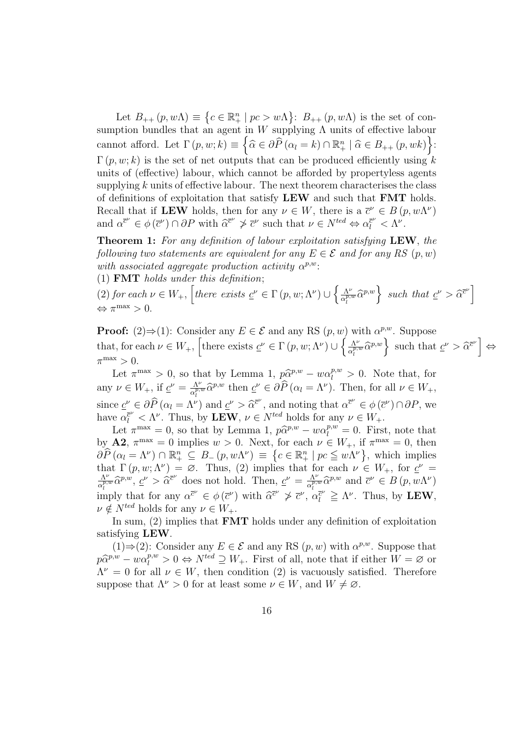Let  $B_{++} (p, w\Lambda) \equiv$  $\overline{a}$  $c \in \mathbb{R}^n_+ \mid pc > w\Lambda$ ª :  $B_{++} (p, w \Lambda)$  is the set of consumption bundles that an agent in W supplying  $\Lambda$  units of effective labour cannot afford. Let  $\Gamma(p, w; k) \equiv \left\{ \widehat{\alpha} \in \partial \widehat{P}(\alpha_l = k) \cap \mathbb{R}^n_+ \mid \widehat{\alpha} \in B_{++}(p, wk) \right\}$ :  $\Gamma(p, w; k)$  is the set of net outputs that can be produced efficiently using k units of (effective) labour, which cannot be afforded by propertyless agents supplying  $k$  units of effective labour. The next theorem characterises the class of definitions of exploitation that satisfy LEW and such that FMT holds. Recall that if LEW holds, then for any  $\nu \in W$ , there is a  $\bar{c}^{\nu} \in B(p, w\Lambda^{\nu})$ and  $\alpha^{\bar{c}^{\nu}} \in \phi(\bar{c}^{\nu}) \cap \partial P$  with  $\widehat{\alpha}^{\bar{c}^{\nu}} \ngeq \bar{c}^{\nu}$  such that  $\nu \in N^{ted} \Leftrightarrow \alpha^{\bar{c}^{\nu}}_l < \Lambda^{\nu}$ .

Theorem 1: For any definition of labour exploitation satisfying LEW, the following two statements are equivalent for any  $E \in \mathcal{E}$  and for any RS  $(p, w)$ with associated aggregate production activity  $\alpha^{p,w}$ :

(1) **FMT** holds under this definition;

(2) for each  $\nu \in W_+$ , there exists  $\underline{c}^{\nu} \in \Gamma(p, w; \Lambda^{\nu}) \cup$  $\int \Lambda^{\nu}$  $\left\{\frac{\Lambda^{\nu}}{\alpha_l^{p,w}}\widehat{\alpha}^{p,w}\right\}$  such that  $\underline{c}^{\nu} > \widehat{\alpha}^{\overline{c}^{\nu}}$  $\Leftrightarrow \pi^{\max} > 0.$ 

**Proof:** (2)  $\Rightarrow$  (1): Consider any  $E \in \mathcal{E}$  and any RS  $(p, w)$  with  $\alpha^{p,w}$ . Suppose that, for each  $\nu \in W_+$ , there exists  $\underline{c}^{\nu} \in \Gamma(p, w; \Lambda^{\nu}) \cup \left\{ \frac{\Lambda^{\nu}}{\alpha^{\nu}}\right\}$ with  $\alpha^{\nu,\omega}$ . Suppose<br>  $\frac{\Lambda^{\nu}}{\alpha_l^{p,w}} \widehat{\alpha}^{p,w}$  such that  $\underline{c}^{\nu} > \widehat{\alpha}^{\overline{c}^{\nu}}$ ⇔  $\pi^{\max} > 0.$ 

Let  $\pi^{\max} > 0$ , so that by Lemma 1,  $p\hat{\alpha}^{p,w} - w\alpha_l^{p,w} > 0$ . Note that, for any  $\nu \in W_+$ , if  $\underline{c}^{\nu} = \frac{\Lambda^{\nu}}{c^{\rho, \nu}}$  $\frac{\Lambda^{\nu}}{\alpha_{l}^{p,w}}\widehat{\alpha}^{p,w}$  then  $\underline{c}^{\nu} \in \partial \widehat{P}(\alpha_{l} = \Lambda^{\nu})$ . Then, for all  $\nu \in W_{+}$ , since  $\underline{c}^{\nu} \in \partial \widehat{P}(\alpha_l = \Lambda^{\nu})$  and  $\underline{c}^{\nu} > \widehat{\alpha}^{\overline{c}^{\nu}}$ , and noting that  $\alpha^{\overline{c}^{\nu}} \in \phi(\overline{c}^{\nu}) \cap \partial P$ , we have  $\alpha_{l}^{\bar{c}^{\nu}} < \Lambda^{\nu}$ . Thus, by **LEW**,  $\nu \in N^{ted}$  holds for any  $\nu \in W_{+}$ .

Let  $\pi^{\max} = 0$ , so that by Lemma 1,  $p\hat{\alpha}^{p,w} - w\alpha_l^{p,w} = 0$ . First, note that by  $\mathbf{A2}, \pi^{\max} = 0$  implies  $w > 0$ . Next, for each  $\nu \in W_+$ , if  $\pi^{\max} = 0$ , then  $\partial \widehat{P}(\alpha_l = \Lambda^{\nu}) \cap \mathbb{R}^n_+ \subseteq B_-(p, w\Lambda^{\nu}) \equiv \{c \in \mathbb{R}^n_+ \mid pc \leq w\Lambda^{\nu}\},\$  which implies that  $\Gamma(p, w; \Lambda^{\nu}) = \emptyset$ . Thus, (2) implies that for each  $\nu \in W_+$ , for  $\underline{c}^{\nu} =$ Λ<sup>ν</sup>  $\frac{\Lambda^{\nu}}{\alpha_l^{p,w}}\hat{\alpha}^{p,w}, \underline{c}^{\nu} > \hat{\alpha}^{\bar{c}^{\nu}}$  does not hold. Then,  $\underline{c}^{\nu} = \frac{\Lambda^{\nu}}{\alpha_l^{p,w}}$  $\frac{\Lambda^{\nu}}{\alpha_l^{p,w}} \widehat{\alpha}_l^{p,w}$  and  $\overline{c}^{\nu} \in B(p,w\Lambda^{\nu})$ imply that for any  $\alpha^{\bar{c}^{\nu}} \in \phi(\bar{c}^{\nu})$  with  $\widehat{\alpha}^{\bar{c}^{\nu}} \geq \bar{c}^{\nu}$ ,  $\alpha_{\bar{l}}^{\bar{c}^{\nu}} \geq \Lambda^{\nu}$ . Thus, by LEW,  $\nu \notin N^{ted}$  holds for any  $\nu \in W_+.$ 

In sum, (2) implies that FMT holds under any definition of exploitation satisfying LEW.

 $(1) \Rightarrow (2)$ : Consider any  $E \in \mathcal{E}$  and any RS  $(p, w)$  with  $\alpha^{p,w}$ . Suppose that  $p\widehat{\alpha}^{p,w} - w\alpha_l^{p,w} > 0 \Leftrightarrow N^{ted} \supseteq W_+$ . First of all, note that if either  $W = \varnothing$  or  $\Lambda^{\nu} = 0$  for all  $\nu \in W$ , then condition (2) is vacuously satisfied. Therefore suppose that  $\Lambda^{\nu} > 0$  for at least some  $\nu \in W$ , and  $W \neq \emptyset$ .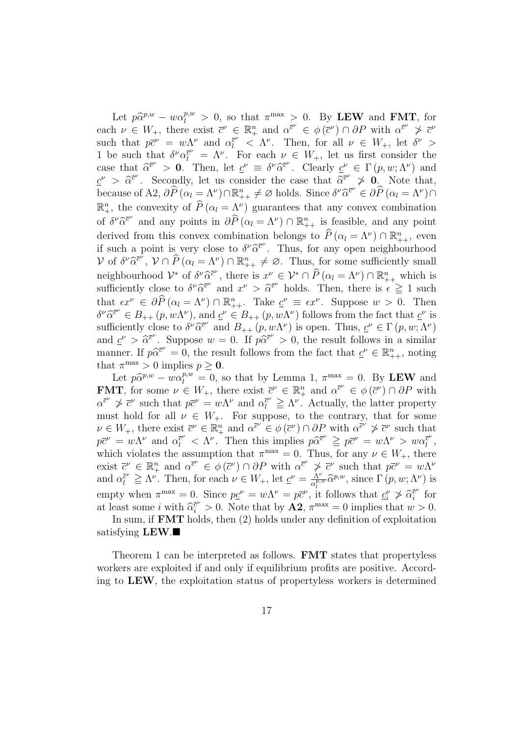Let  $p\hat{\alpha}^{p,w} - w\alpha_l^{p,w} > 0$ , so that  $\pi^{\max} > 0$ . By LEW and FMT, for each  $\nu \in W_+$ , there exist  $\bar{c}^{\nu} \in \mathbb{R}^n_+$  and  $\alpha^{\bar{c}^{\nu}} \in \phi(\bar{c}^{\nu}) \cap \partial P$  with  $\alpha^{\bar{c}^{\nu}} \not> \bar{c}^{\nu}$ such that  $p\bar{c}^{\nu} = w\Lambda^{\nu}$  and  $\alpha_{l}^{\bar{c}^{\nu}} < \Lambda^{\nu}$ . Then, for all  $\nu \in W_{+}$ , let  $\delta^{\nu} >$ 1 be such that  $\delta^{\nu} \alpha_{l}^{\bar{c}^{\nu}} = \Lambda^{\nu}$ . For each  $\nu \in W_{+}$ , let us first consider the case that  $\hat{\alpha}^{\bar{c}^{\nu}} > 0$ . Then, let  $\underline{c}^{\nu} \equiv \delta^{\nu} \hat{\alpha}^{\bar{c}^{\nu}}$ . Clearly  $\underline{c}^{\nu} \in \Gamma(p, w; \Lambda^{\nu})$  and  $\underline{c}^{\nu} > \widehat{\alpha}^{\overline{c}^{\nu}}$ . Secondly, let us consider the case that  $\widehat{\alpha}^{\overline{c}^{\nu}} \neq 0$ . Note that, because of A2,  $\partial \widehat{P}(\alpha_l = \Lambda^{\nu}) \cap \mathbb{R}^n_{++} \neq \varnothing$  holds. Since  $\delta^{\nu} \widehat{\alpha}^{\overline{c}^{\nu}} \in \partial \widehat{P}(\alpha_l = \Lambda^{\nu}) \cap$  $\mathbb{R}^n_+$ , the convexity of  $\widehat{P}(\alpha_l = \Lambda^{\nu})$  guarantees that any convex combination of  $\delta^{\nu}\hat{\alpha}^{\bar{c}^{\nu}}$  and any points in  $\partial\widehat{P}\left(\alpha_{l}=\Lambda^{\nu}\right)\cap\mathbb{R}^{n}_{++}$  is feasible, and any point derived from this convex combination belongs to  $\widehat{P}(\alpha_l = \Lambda^{\nu}) \cap \mathbb{R}^n_{++}$ , even if such a point is very close to  $\delta^{\nu} \hat{\alpha}^{\bar{c}^{\nu}}$ . Thus, for any open neighbourhood  $\mathcal V$  of  $\delta^{\nu} \widehat{\alpha}^{\bar{e}^{\bar{\nu}}}$ ,  $\mathcal V \cap \widehat{P}$   $(\alpha_l = \Lambda^{\nu}) \cap \mathbb{R}^n_{++} \neq \emptyset$ . Thus, for some sufficiently small neighbourhood  $\mathcal{V}^*$  of  $\delta^{\nu} \widehat{\alpha}^{\overline{c}^{\nu}}$ , there is  $x^{\nu} \in \mathcal{V}^* \cap \widehat{P}(\alpha_l = \Lambda^{\nu}) \cap \mathbb{R}^n_{++}$  which is sufficiently close to  $\delta^{\nu} \hat{\alpha}^{\bar{c}^{\nu}}$  and  $x^{\nu} > \hat{\alpha}^{\bar{c}^{\nu}}$  holds. Then, there is  $\epsilon \geq 1$  such that  $\epsilon x^{\nu} \in \partial \widehat{P}(\alpha_l = \Lambda^{\nu}) \cap \mathbb{R}^n_{++}$ . Take  $\underline{c}^{\nu} \equiv \epsilon x^{\nu}$ . Suppose  $w > 0$ . Then  $\delta^{\nu}\hat{\alpha}^{\bar{c}^{\nu}}\in B_{++}(p,w\Lambda^{\nu}),$  and  $\underline{c}^{\nu}\in B_{++}(p,w\Lambda^{\nu})$  follows from the fact that  $\underline{c}^{\nu}$  is sufficiently close to  $\delta^{\nu}\hat{\alpha}^{\bar{c}^{\nu}}$  and  $B_{++} (p, w\Lambda^{\nu})$  is open. Thus,  $\underline{c}^{\nu} \in \Gamma(p, w; \Lambda^{\nu})$ and  $\underline{c}^{\nu} > \widehat{\alpha}^{\overline{c}^{\nu}}$ . Suppose  $w = 0$ . If  $p\widehat{\alpha}^{\overline{c}^{\nu}} > 0$ , the result follows in a similar manner. If  $p\hat{\alpha}^{\bar{c}^{\nu}} = 0$ , the result follows from the fact that  $\underline{c}^{\nu} \in \mathbb{R}_{++}^n$ , noting that  $\pi^{\max} > 0$  implies  $p \geq 0$ .

Let  $p\hat{\alpha}^{p,w} - w\hat{\alpha}^{p,w}_l = 0$ , so that by Lemma 1,  $\pi^{\max} = 0$ . By LEW and **FMT**, for some  $\nu \in W_+$ , there exist  $\overline{c}^{\nu} \in \mathbb{R}^n_+$  and  $\alpha^{\overline{c}^{\nu}} \in \phi(\overline{c}^{\nu}) \cap \partial P$  with  $\alpha^{\bar{c}^{\nu}} \geq \bar{c}^{\nu}$  such that  $p\bar{c}^{\nu} = w\Lambda^{\nu}$  and  $\alpha^{\bar{c}^{\nu}} \geq \Lambda^{\nu}$ . Actually, the latter property must hold for all  $\nu \in W_+$ . For suppose, to the contrary, that for some  $\nu \in W_+$ , there exist  $\bar{c}^{\nu} \in \mathbb{R}^n_+$  and  $\alpha^{\bar{c}^{\nu}} \in \phi(\bar{c}^{\nu}) \cap \partial P$  with  $\alpha^{\bar{c}^{\nu}} \not> \bar{c}^{\nu}$  such that  $p\bar{c}^{\nu} = w\Lambda^{\nu}$  and  $\alpha_l^{\bar{c}^{\nu}} < \Lambda^{\nu}$ . Then this implies  $p\widehat{\alpha}^{\bar{c}^{\nu}} \geq p\bar{c}^{\nu} = w\Lambda^{\nu} > w\alpha_l^{\bar{c}^{\nu}}$  $\bar{\bar l}^{\nu}$  , which violates the assumption that  $\pi^{\max} = 0$ . Thus, for any  $\nu \in W_+$ , there exist  $\bar{c}^{\nu} \in \mathbb{R}^n_+$  and  $\alpha^{\bar{c}^{\nu}} \in \phi(\bar{c}^{\nu}) \cap \partial P$  with  $\alpha^{\bar{c}^{\nu}} \not\geq \bar{c}^{\nu}$  such that  $p\bar{c}^{\nu} = w\Lambda^{\nu}$ and  $\alpha_l^{\bar{c}^{\nu}} \geq \Lambda^{\nu}$ . Then, for each  $\nu \in W_+$ , let  $\underline{c}^{\nu} = \frac{\Lambda^{\nu}}{\alpha_l^{\bar{c}^{\nu}}}$  $\frac{\Lambda^{\nu}}{\alpha_l^{p,w}} \widehat{\alpha}^{p,w}$ , since  $\Gamma(p,w;\Lambda^{\nu})$  is empty when  $\pi^{\max} = 0$ . Since  $p\underline{c}^{\nu} = w\Lambda^{\nu} = p\overline{c}^{\nu}$ , it follows that  $\underline{c}^{\nu}_{i} \ngeq \widehat{\alpha}_{i}^{\overline{c}^{\nu}}$  $\bar{i}^{\nu}$  for at least some i with  $\hat{\alpha}_i^{\bar{c}^{\nu}} > 0$ . Note that by  $\mathbf{A2}, \pi^{\max} = 0$  implies that  $w > 0$ .

In sum, if FMT holds, then (2) holds under any definition of exploitation satisfying **.** 

Theorem 1 can be interpreted as follows. FMT states that propertyless workers are exploited if and only if equilibrium profits are positive. According to LEW, the exploitation status of propertyless workers is determined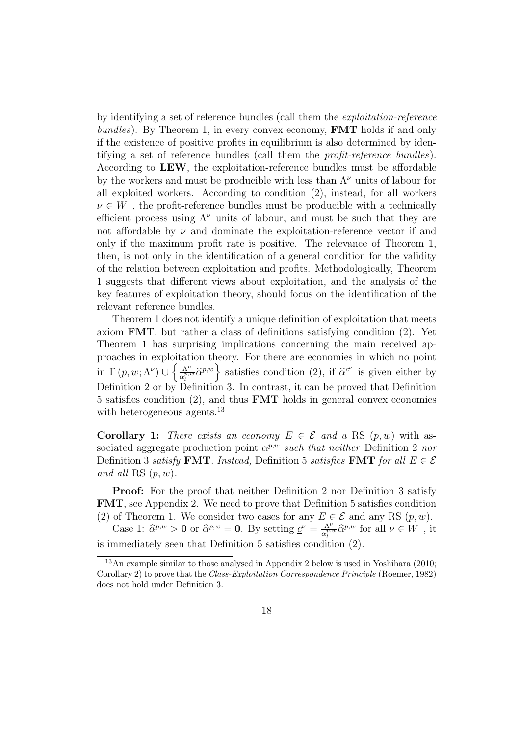by identifying a set of reference bundles (call them the exploitation-reference  $bundles$ ). By Theorem 1, in every convex economy, **FMT** holds if and only if the existence of positive profits in equilibrium is also determined by identifying a set of reference bundles (call them the profit-reference bundles). According to LEW, the exploitation-reference bundles must be affordable by the workers and must be producible with less than  $\Lambda^{\nu}$  units of labour for all exploited workers. According to condition (2), instead, for all workers  $\nu \in W_+$ , the profit-reference bundles must be producible with a technically efficient process using  $\Lambda^{\nu}$  units of labour, and must be such that they are not affordable by  $\nu$  and dominate the exploitation-reference vector if and only if the maximum profit rate is positive. The relevance of Theorem 1, then, is not only in the identification of a general condition for the validity of the relation between exploitation and profits. Methodologically, Theorem 1 suggests that different views about exploitation, and the analysis of the key features of exploitation theory, should focus on the identification of the relevant reference bundles.

Theorem 1 does not identify a unique definition of exploitation that meets axiom FMT, but rather a class of definitions satisfying condition (2). Yet Theorem 1 has surprising implications concerning the main received approaches in exploitation theory. For there are economies in which no point in  $\Gamma(p, w; \Lambda^{\nu}) \cup \left\{\frac{\Lambda^{\nu}}{e^{p, \nu}}\right\}$ tation theory. For there are economies in which no point  $\frac{\Lambda^{\nu}}{\alpha_l^{\alpha,\omega}} \hat{\alpha}^{p,w}$  satisfies condition (2), if  $\hat{\alpha}^{\bar{c}^{\nu}}$  is given either by Definition 2 or by Definition 3. In contrast, it can be proved that Definition 5 satisfies condition (2), and thus **FMT** holds in general convex economies with heterogeneous agents.<sup>13</sup>

**Corollary 1:** There exists an economy  $E \in \mathcal{E}$  and a RS  $(p, w)$  with associated aggregate production point  $\alpha^{p,w}$  such that neither Definition 2 nor Definition 3 satisfy **FMT**. Instead, Definition 5 satisfies **FMT** for all  $E \in \mathcal{E}$ and all RS  $(p, w)$ .

Proof: For the proof that neither Definition 2 nor Definition 3 satisfy FMT, see Appendix 2. We need to prove that Definition 5 satisfies condition (2) of Theorem 1. We consider two cases for any  $E \in \mathcal{E}$  and any RS  $(p, w)$ .

Case 1:  $\hat{\alpha}^{p,w} > 0$  or  $\hat{\alpha}^{p,w} = 0$ . By setting  $\underline{c}^{\nu} = \frac{\Lambda^{\nu}}{s^{\overline{\nu} \cdot \overline{\nu}}}$  $\frac{\Lambda^{\nu}}{\alpha_l^{p,w}} \widehat{\alpha}^{p,w}$  for all  $\nu \in W_+$ , it is immediately seen that Definition 5 satisfies condition (2).

<sup>13</sup>An example similar to those analysed in Appendix 2 below is used in Yoshihara (2010; Corollary 2) to prove that the Class-Exploitation Correspondence Principle (Roemer, 1982) does not hold under Definition 3.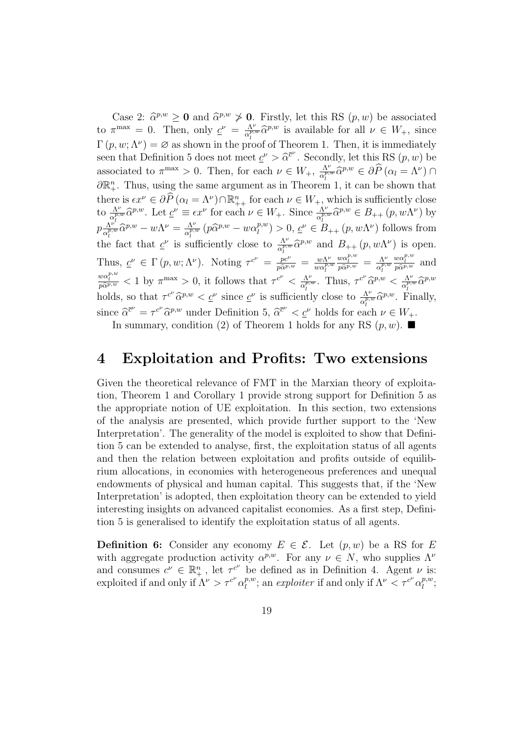Case 2:  $\hat{\alpha}^{p,w} \ge 0$  and  $\hat{\alpha}^{p,w} \ge 0$ . Firstly, let this RS  $(p, w)$  be associated to  $\pi^{\max} = 0$ . Then, only  $\underline{c}^{\nu} = \frac{\Lambda^{\nu}}{c^{\nu}}$  $\frac{\Lambda^{\nu}}{\alpha_l^{p,w}} \hat{\alpha}_l^{p,w}$  is available for all  $\nu \in W_+$ , since  $\Gamma(p, w; \Lambda^{\nu}) = \emptyset$  as shown in the proof of Theorem 1. Then, it is immediately seen that Definition 5 does not meet  $\underline{c}^{\nu} > \widehat{\alpha}^{\overline{c}^{\nu}}$ . Secondly, let this RS  $(p, w)$  be associated to  $\pi^{\max} > 0$ . Then, for each  $\nu \in W_+, \frac{\Lambda^{\nu}}{\alpha^{\nu}}$ .  $\frac{\Lambda^{\nu}}{\alpha_{l}^{p,w}} \widehat{\alpha}^{p,w} \in \partial \widehat{P} (\alpha_{l} = \Lambda^{\nu}) \cap$  $\partial \mathbb{R}_{+}^{n}$ . Thus, using the same argument as in Theorem 1, it can be shown that there is  $\epsilon x^{\nu} \in \partial \widehat{P}(\alpha_l = \Lambda^{\nu}) \cap \mathbb{R}^n_{++}$  for each  $\nu \in W_+$ , which is sufficiently close to  $\frac{\Lambda^{\nu}}{\alpha_l^{p,w}}\hat{\alpha}^{p,w}$ . Let  $\underline{c}^{\nu} \equiv \epsilon x^{\nu}$  for each  $\nu \in W_+$ . Since  $\frac{\Lambda^{\nu}}{\alpha_l^{p,w}}\hat{\alpha}^{p,w} \in B_{++}(p,w\Lambda^{\nu})$  by  $p\frac{\Lambda^{\nu}}{e^{p}}$  $\frac{\Lambda^{\nu^*}}{\alpha_l^{p,w}} \widehat{\alpha}^{p,w} - w \Lambda^{\nu} = \frac{\Lambda^{\nu}}{\alpha_l^{p,w}}$  $\frac{\Lambda^{\nu}}{\alpha_{l}^{p,w}}\left(p\widehat{\alpha}^{p,w}-w\alpha_{l}^{p,w}\right)$  $\ell_l^{(p,w)} > 0, \, \underline{c}^{\nu} \in B_{++}(p, w\Lambda^{\nu})$  follows from the fact that  $\underline{c}^{\nu}$  is sufficiently close to  $\frac{\Lambda^{\nu}}{\alpha_{l}^{p,w}}\widehat{\alpha}^{p,w}$  and  $B_{++}(p,w\Lambda^{\nu})$  is open. Thus,  $\underline{c}^{\nu} \in \Gamma(p, w; \Lambda^{\nu})$ . Noting  $\tau^{c^{\nu}} = \frac{pc^{\nu}}{p\widehat{\alpha}^{p,w}} = \frac{w\Lambda^{\nu}}{w\alpha_{\nu}^{p,w}}$  $\overline{w\alpha_l^{p,w}}$  $\frac{w\alpha_l^{p,w}}{p\widehat{\alpha}^{p,w}} = \frac{\Lambda^{\nu}}{\alpha_l^{p,w}}$  $\alpha_l^{p,w}$  $\lim_{p,w} \, \underline{c}^{\nu} \in \Gamma(p,w;\Lambda^{\nu}).$  Noting  $\tau^{c^{\nu}} = \frac{pc^{\nu}}{p\hat{\alpha}^{p,w}} = \frac{w\Lambda^{\nu}}{w\alpha_{l}^{p,w}} \frac{w\alpha_{l}^{p,w}}{p\hat{\alpha}^{p,w}} = \frac{\Lambda^{\nu}}{\alpha_{l}^{p,w}} \frac{w\alpha_{l}^{p,w}}{p\hat{\alpha}^{p,w}}$  and  $\frac{w\alpha_l^{p,w}}{p\hat{\alpha}_l^{p,w}} < 1$  by  $\pi^{\max} > 0$ , it follows that  $\tau^{c^{\nu}} < \frac{\Lambda^{\nu}}{\alpha_l^{p,w}}$  $\frac{\Lambda^{\nu}}{\alpha_l^{p,w}}$ . Thus,  $\tau^{c^{\nu}} \widehat{\alpha}^{p,w} < \frac{\Lambda^{\nu}}{\alpha_l^{p,w}}$  $\frac{\Lambda^{\nu}}{\alpha_l^{p,w}} \widehat{\alpha}^{p,w}$ holds, so that  $\tau^{c'} \hat{\alpha}^{p,w} < \underline{c}^{\nu}$  since  $\underline{c}^{\nu}$  is sufficiently close to  $\frac{\Lambda^{\nu}}{\alpha_{i}^{p,w}} \hat{\alpha}^{p,w}$ . Finally, since  $\widehat{\alpha}^{\bar{c}^{\nu}} = \tau^{c^{\nu}} \widehat{\alpha}^{p,w}$  under Definition 5,  $\widehat{\alpha}^{\bar{c}^{\nu}} < \underline{c}^{\nu}$  holds for each  $\nu \in W_{+}$ .

#### In summary, condition (2) of Theorem 1 holds for any RS  $(p, w)$ .

#### 4 Exploitation and Profits: Two extensions

Given the theoretical relevance of FMT in the Marxian theory of exploitation, Theorem 1 and Corollary 1 provide strong support for Definition 5 as the appropriate notion of UE exploitation. In this section, two extensions of the analysis are presented, which provide further support to the 'New Interpretation'. The generality of the model is exploited to show that Definition 5 can be extended to analyse, first, the exploitation status of all agents and then the relation between exploitation and profits outside of equilibrium allocations, in economies with heterogeneous preferences and unequal endowments of physical and human capital. This suggests that, if the 'New Interpretation' is adopted, then exploitation theory can be extended to yield interesting insights on advanced capitalist economies. As a first step, Definition 5 is generalised to identify the exploitation status of all agents.

**Definition 6:** Consider any economy  $E \in \mathcal{E}$ . Let  $(p, w)$  be a RS for E with aggregate production activity  $\alpha^{p,w}$ . For any  $\nu \in N$ , who supplies  $\Lambda^{\nu}$ and consumes  $c^{\nu} \in \mathbb{R}^n_+$ , let  $\tau^{c^{\nu}}$  be defined as in Definition 4. Agent  $\nu$  is: exploited if and only if  $\Lambda^{\nu} > \tau^{c^{\nu}} \alpha_{l}^{p,w}$  $\ell_l^{p,w}$ ; an exploiter if and only if  $\Lambda^{\nu} < \tau^{c^{\nu}} \alpha_l^{p,w}$  $_{l}^{p,w};$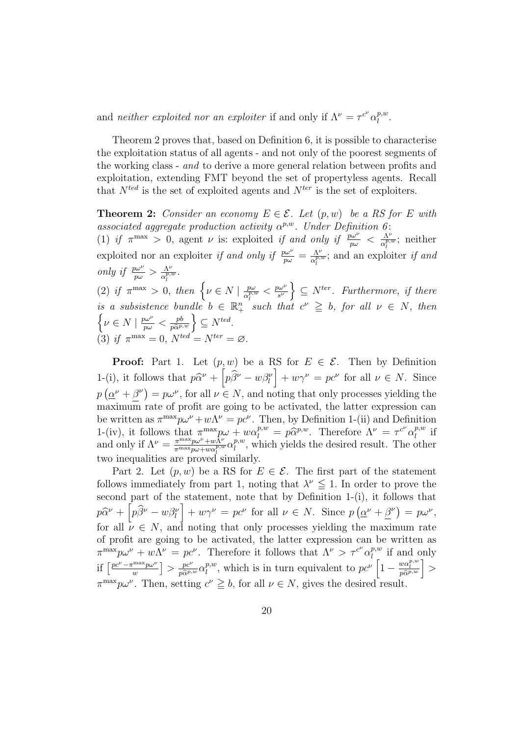and neither exploited nor an exploiter if and only if  $\Lambda^{\nu} = \tau^{c^{\nu}} \alpha_{l}^{p,w}$  $_{l}^{p,w}.$ 

Theorem 2 proves that, based on Definition 6, it is possible to characterise the exploitation status of all agents - and not only of the poorest segments of the working class - and to derive a more general relation between profits and exploitation, extending FMT beyond the set of propertyless agents. Recall that  $N^{ted}$  is the set of exploited agents and  $N^{ter}$  is the set of exploiters.

**Theorem 2:** Consider an economy  $E \in \mathcal{E}$ . Let  $(p, w)$  be a RS for E with associated aggregate production activity  $\alpha^{p,w}$ . Under Definition 6: (1) if  $\pi^{\max} > 0$ , agent  $\nu$  is: exploited if and only if  $\frac{p\omega^{\nu}}{p\omega} < \frac{\Lambda^{\nu}}{\alpha_r^{\rho,s}}$  $\frac{\Lambda^{\nu}}{\alpha_l^{p,w}}$ ; neither exploited nor an exploiter if and only if  $\frac{p\omega^{\nu}}{p\omega} = \frac{\Lambda^{\nu}}{\alpha_i^{p,\nu}}$  $\frac{\Lambda^{\nu}}{\alpha_l^{p,w}}$ ; and an exploiter if and only if  $\frac{p\omega^{\nu}}{p\omega} > \frac{\Lambda^{\nu}}{\alpha_i^{p,\gamma}}$  $\frac{\Lambda^{\nu}}{\alpha_{l}^{p,w}}.$ l  $\left( \begin{matrix} 2 \end{matrix} \right)$  if  $\pi^{\max} > 0$ , then  $\left\{ \nu \in N \mid \frac{p\omega}{\sigma^{p,q}} \right\}$  $\frac{p\omega}{\alpha_l^{p,w}} < \frac{p\omega^{\nu}}{s^{\nu}}$  $\overline{s^{\nu}}$ o  $\subseteq N^{ter}$ . Furthermore, if there is a subsistence bundle  $b \in \mathbb{R}^n_+$  such that  $c^{\nu} \geq b$ , for all  $\nu \in N$ , then  $\nu \in N \mid \frac{p\omega^{\nu}}{p\omega}$  $\frac{p\omega^{\nu}}{p\omega} < \frac{pb}{p\widehat{\alpha}^p}$  $\left\{\frac{pb}{p\hat{\alpha}^{p,w}}\right\} \subseteq N^{ted}.$ 

(3) if 
$$
\pi^{\max} = 0
$$
,  $N^{ted} = N^{ter} = \emptyset$ .

**Proof:** Part 1. Let  $(p, w)$  be a RS for  $E \in \mathcal{E}$ . Then by Definition 1-(i), it follows that  $p\hat{\alpha}^{\nu} + \left[p\hat{\beta}^{\nu} - w\beta^{\nu}\right] + w\gamma^{\nu} = pc^{\nu}$  for all  $\nu \in N$ . Since  $p\left(\underline{\alpha}^{\nu}+\beta^{\nu}\right)=p\omega^{\nu}$ , for all  $\nu\in N$ , and noting that only processes yielding the  $\begin{pmatrix} -y & -z & -z \\ z & z & z \end{pmatrix}$ maximum rate of profit are going to be activated, the latter expression can be written as  $\pi^{\max} p \omega^{\nu} + w \Lambda^{\nu} = p c^{\nu}$ . Then, by Definition 1-(ii) and Definition 1-(iv), it follows that  $\pi^{\max}_{\mu\nu} p\omega + w\alpha_l^{p,w} = p\hat{\alpha}^{p,w}$ . Therefore  $\Lambda^{\nu} = \tau^{c^{\nu}} \alpha_l^{p,w}$  $l^{p,w}$  if and only if  $\Lambda^{\nu} = \frac{\pi^{\max} p \omega^{\nu} + w \tilde{\Lambda}^{\nu}}{\pi^{\max} p \omega + w \tilde{\Lambda}^{\nu}}$  $\frac{\pi^{\max}p\omega^{\nu}+w\bar{\Lambda}^{\nu}}{\pi^{\max}p\omega+w\alpha_{l}^{p,w}}\alpha_{l}^{p,w}$  $\ell_l^{p,w}$ , which yields the desired result. The other two inequalities are proved similarly.

Part 2. Let  $(p, w)$  be a RS for  $E \in \mathcal{E}$ . The first part of the statement follows immediately from part 1, noting that  $\lambda^{\nu} \leq 1$ . In order to prove the second part of the statement, note that by Definition 1-(i), it follows that  $p\widehat{\alpha}^{\nu} + \left| p\widehat{\beta}^{\nu} - w\beta_{l}^{\nu} \right| + w\gamma^{\nu} = pc^{\nu}$  for all  $\nu \in N$ . Since p ¡ <sup>*n*</sup> + β<sup>*v*</sup>)  $= p\omega^{\nu}$ , for all  $\nu \in N$ , and noting that only processes yielding the maximum rate of profit are going to be activated, the latter expression can be written as  $\pi^{\max} p \omega^{\nu} + w \Lambda^{\nu} = p c^{\nu}$ . Therefore it follows that  $\Lambda^{\nu} > \tau^{c^{\nu}} \alpha_{l}^{p,w}$  $\prod_{l=1}^{p,w}$  if and only if  $\left[ \frac{pc^{\nu} - \pi^{\text{max}} p \omega^{\nu}}{w} \right]$ w **a**<br>⊓  $> \frac{pc^{\nu}}{p\hat{\alpha}^{p,w}} \alpha_l^{p,w}$  $l^{p,w}$ , which is in turn equivalent to  $pc^{\nu} \left[1 - \frac{w\alpha_l^{p,w}}{p\hat{\alpha}^{p,w}}\right]$  $\frac{\sum\limits_{w\alpha_l^{p,w}}^{\alpha_l^{p,w}}}{p\widehat{\alpha}^{p,w}}\bigg\}\geq 0$  $\pi^{\max} p \omega^{\nu}$ . Then, setting  $c^{\nu} \geq b$ , for all  $\nu \in N$ , gives the desired result.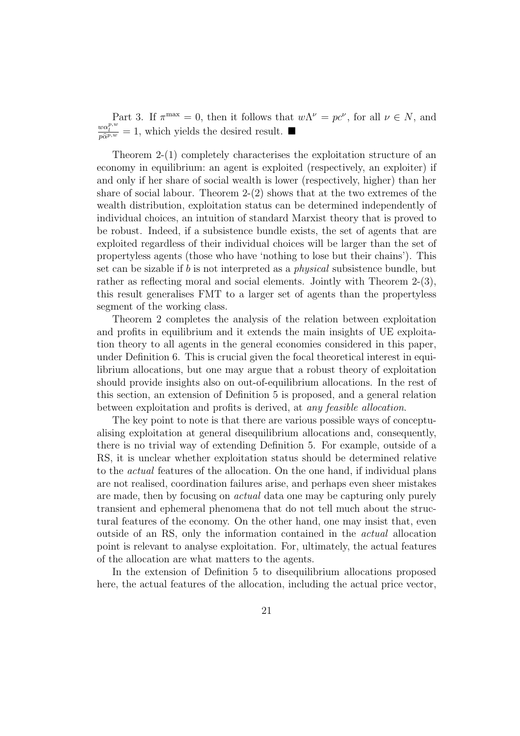Part 3. If  $\pi^{\max} = 0$ , then it follows that  $w\Lambda^{\nu} = pc^{\nu}$ , for all  $\nu \in N$ , and  $\frac{w\alpha_l^{p,w}}{p\hat{\alpha}_l^{p,w}} = 1$ , which yields the desired result.

Theorem 2-(1) completely characterises the exploitation structure of an economy in equilibrium: an agent is exploited (respectively, an exploiter) if and only if her share of social wealth is lower (respectively, higher) than her share of social labour. Theorem 2-(2) shows that at the two extremes of the wealth distribution, exploitation status can be determined independently of individual choices, an intuition of standard Marxist theory that is proved to be robust. Indeed, if a subsistence bundle exists, the set of agents that are exploited regardless of their individual choices will be larger than the set of propertyless agents (those who have 'nothing to lose but their chains'). This set can be sizable if b is not interpreted as a physical subsistence bundle, but rather as reflecting moral and social elements. Jointly with Theorem 2-(3), this result generalises FMT to a larger set of agents than the propertyless segment of the working class.

Theorem 2 completes the analysis of the relation between exploitation and profits in equilibrium and it extends the main insights of UE exploitation theory to all agents in the general economies considered in this paper, under Definition 6. This is crucial given the focal theoretical interest in equilibrium allocations, but one may argue that a robust theory of exploitation should provide insights also on out-of-equilibrium allocations. In the rest of this section, an extension of Definition 5 is proposed, and a general relation between exploitation and profits is derived, at any feasible allocation.

The key point to note is that there are various possible ways of conceptualising exploitation at general disequilibrium allocations and, consequently, there is no trivial way of extending Definition 5. For example, outside of a RS, it is unclear whether exploitation status should be determined relative to the actual features of the allocation. On the one hand, if individual plans are not realised, coordination failures arise, and perhaps even sheer mistakes are made, then by focusing on actual data one may be capturing only purely transient and ephemeral phenomena that do not tell much about the structural features of the economy. On the other hand, one may insist that, even outside of an RS, only the information contained in the actual allocation point is relevant to analyse exploitation. For, ultimately, the actual features of the allocation are what matters to the agents.

In the extension of Definition 5 to disequilibrium allocations proposed here, the actual features of the allocation, including the actual price vector,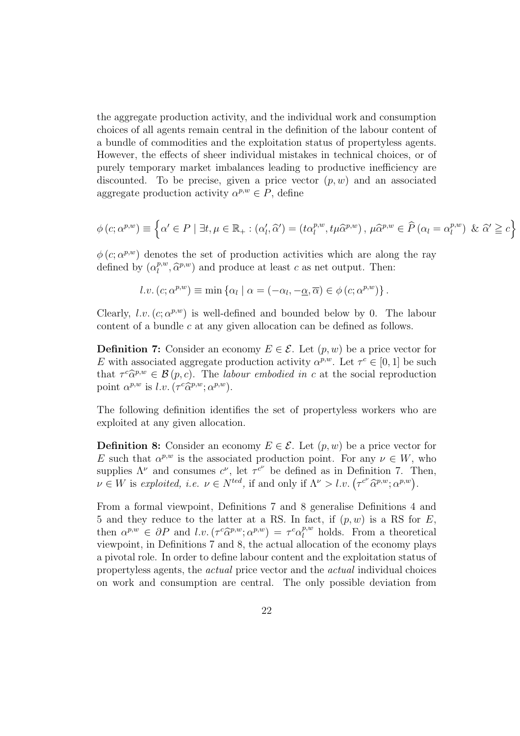the aggregate production activity, and the individual work and consumption choices of all agents remain central in the definition of the labour content of a bundle of commodities and the exploitation status of propertyless agents. However, the effects of sheer individual mistakes in technical choices, or of purely temporary market imbalances leading to productive inefficiency are discounted. To be precise, given a price vector  $(p, w)$  and an associated aggregate production activity  $\alpha^{p,w} \in P$ , define

$$
\phi(c; \alpha^{p,w}) \equiv \left\{ \alpha' \in P \mid \exists t, \mu \in \mathbb{R}_+ : (\alpha'_l, \widehat{\alpha}') = (t \alpha_l^{p,w}, t \mu \widehat{\alpha}^{p,w}), \mu \widehat{\alpha}^{p,w} \in \widehat{P} \left( \alpha_l = \alpha_l^{p,w} \right) \& \widehat{\alpha}' \geqq c \right\}
$$

 $\phi(c; \alpha^{p,w})$  denotes the set of production activities which are along the ray defined by  $(\alpha_l^{p,w})$  $\hat{a}^{p,w}, \hat{\alpha}^{p,w}$  and produce at least c as net output. Then:

$$
l.v. (c; \alpha^{p,w}) \equiv \min \{ \alpha_l \mid \alpha = (-\alpha_l, -\underline{\alpha}, \overline{\alpha}) \in \phi (c; \alpha^{p,w}) \}.
$$

Clearly,  $l.v. (c; \alpha^{p,w})$  is well-defined and bounded below by 0. The labour content of a bundle c at any given allocation can be defined as follows.

**Definition 7:** Consider an economy  $E \in \mathcal{E}$ . Let  $(p, w)$  be a price vector for E with associated aggregate production activity  $\alpha^{p,w}$ . Let  $\tau^c \in [0,1]$  be such that  $\tau^c \hat{\alpha}^{p,w} \in \mathcal{B}(p,c)$ . The labour embodied in c at the social reproduction point  $\alpha^{p,w}$  is  $l.v.(\tau^c \widehat{\alpha}^{p,w}; \alpha^{p,w}).$ 

The following definition identifies the set of propertyless workers who are exploited at any given allocation.

**Definition 8:** Consider an economy  $E \in \mathcal{E}$ . Let  $(p, w)$  be a price vector for E such that  $\alpha^{p,w}$  is the associated production point. For any  $\nu \in W$ , who supplies  $\Lambda^{\nu}$  and consumes  $c^{\nu}$ , let  $\tau^{c^{\nu}}$  be defined as in Definition 7. Then, supplies  $\Lambda^c$  and consumes  $c^c$ , let  $\tau^c$  be defined as in Definition (. 1)<br>  $\nu \in W$  is exploited, i.e.  $\nu \in N^{ted}$ , if and only if  $\Lambda^{\nu} > l.v.$   $(\tau^{c^{\nu}} \widehat{\alpha}^{p,w}; \alpha^{p,w})$ .

From a formal viewpoint, Definitions 7 and 8 generalise Definitions 4 and 5 and they reduce to the latter at a RS. In fact, if  $(p, w)$  is a RS for E, then  $\alpha^{p,w} \in \partial P$  and  $l.v.(\tau^c \widehat{\alpha}^{p,w}; \alpha^{p,w}) = \tau^c \alpha_l^{p,w}$  $\ell_l^{p,w}$  holds. From a theoretical viewpoint, in Definitions 7 and 8, the actual allocation of the economy plays a pivotal role. In order to define labour content and the exploitation status of propertyless agents, the actual price vector and the actual individual choices on work and consumption are central. The only possible deviation from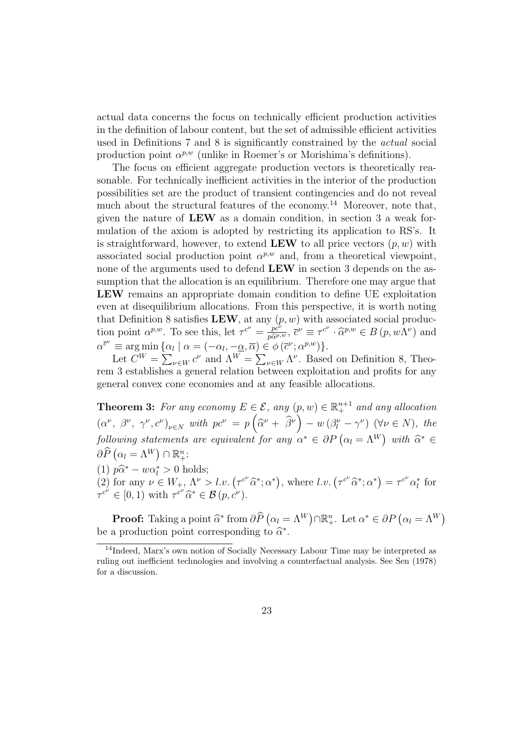actual data concerns the focus on technically efficient production activities in the definition of labour content, but the set of admissible efficient activities used in Definitions 7 and 8 is significantly constrained by the actual social production point  $\alpha^{p,w}$  (unlike in Roemer's or Morishima's definitions).

The focus on efficient aggregate production vectors is theoretically reasonable. For technically inefficient activities in the interior of the production possibilities set are the product of transient contingencies and do not reveal much about the structural features of the economy.<sup>14</sup> Moreover, note that, given the nature of LEW as a domain condition, in section 3 a weak formulation of the axiom is adopted by restricting its application to RS's. It is straightforward, however, to extend LEW to all price vectors  $(p, w)$  with associated social production point  $\alpha^{p,w}$  and, from a theoretical viewpoint, none of the arguments used to defend LEW in section 3 depends on the assumption that the allocation is an equilibrium. Therefore one may argue that LEW remains an appropriate domain condition to define UE exploitation even at disequilibrium allocations. From this perspective, it is worth noting that Definition 8 satisfies LEW, at any  $(p, w)$  with associated social production point  $\alpha^{p,w}$ . To see this, let  $\tau^{c^{\nu}} = \frac{p c^{\nu}}{p \hat{\alpha}^{p,w}}$ ,  $\bar{c}^{\nu} \equiv \tau^{c^{\nu}} \cdot \hat{\alpha}^{p,w} \in B(p,w\Lambda^{\nu})$  and  $\alpha^{\bar{c}^{\nu}} \equiv \arg \min \{ \alpha_l \mid \alpha = (-\alpha_l, -\underline{\alpha}, \overline{\alpha}) \in \phi(\bar{c}^{\nu}; \alpha^{p,w}) \}.$ 

 $=\arg \min \{\alpha_i\}$ <br>Let  $C^W = \sum$  $\begin{aligned} \n\iota \mid \alpha &= (-\alpha_l, -\underline{\alpha}, \alpha) \in \\ \n\iota \in W \, c^{\nu} \text{ and } \Lambda^W &= \sum \n\end{aligned}$  $v \in W \Lambda^{\nu}$ . Based on Definition 8, Theorem 3 establishes a general relation between exploitation and profits for any general convex cone economies and at any feasible allocations.

**Theorem 3:** For any economy  $E \in \mathcal{E}$ , any  $(p, w) \in \mathbb{R}^{n+1}$  and any allocation  $(\alpha^{\nu}, \beta^{\nu}, \gamma^{\nu}, c^{\nu})_{\nu \in N}$  with  $pc^{\nu} = p$ ³  $\widehat{\alpha}^{\nu}+\ \widehat{\beta}^{\nu}$  $\frac{p}{\sqrt{2}}$  $- w \left( \beta_l^{\nu} - \gamma^{\nu} \right)$  ( $\forall \nu \in N$ ), the following statements are equivalent for any  $\alpha^* \in \partial P$   $(\alpha_l = \Lambda^W)$ ¢ owing statements are equivalent for any  $\alpha^* \in \partial P (\alpha_l = \Lambda^W)$  with  $\widehat{\alpha}^* \in$  $\partial \widehat{P}\left( \alpha_l = \Lambda^W \right) \cap \mathbb{R}^n_+$ 

(1)  $p\hat{\alpha}^* - w\alpha_l^* > 0$  holds;

(1)  $p\alpha - w\alpha_i > 0$  notes;<br>(2) for any  $\nu \in W_+$ ,  $\Lambda^{\nu} > l.v.$   $(\tau^{c^{\nu}}\hat{\alpha}^*; \alpha^*)$ , where  $l.v.$   $(\tau^{c^{\nu}}\hat{\alpha}^*; \alpha^*)$  $=\tau^{c} \alpha_l^*$  for  $\tau^{c^{\nu}} \in [0, 1)$  with  $\tau^{c^{\nu}} \widehat{\alpha}^* \in \mathcal{B}(p, c^{\nu}).$ 

**Proof:** Taking a point  $\widehat{\alpha}^*$  from  $\partial \widehat{P}$  (  $\alpha_l = \Lambda^W$ ¢  $\cap \mathbb{R}_{+}^{n}$ . Let  $\alpha^* \in \partial P$   $(\alpha_l = \Lambda^W)$ ¢ be a production point corresponding to  $\widehat{\alpha}^*$ .

<sup>14</sup>Indeed, Marx's own notion of Socially Necessary Labour Time may be interpreted as ruling out inefficient technologies and involving a counterfactual analysis. See Sen (1978) for a discussion.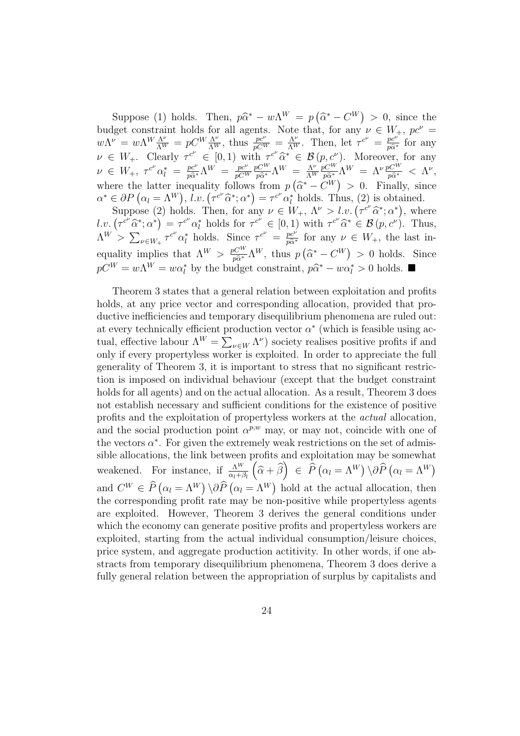Suppose (1) holds. Then,  $p\hat{\alpha}^* - w\Lambda^W = p$ ¡  $\widehat{\alpha}^* - C^W$  $> 0$ , since the budget constraint holds for all agents. Note that, for any  $\nu \in W_+$ ,  $pc^{\nu} =$  $w\Lambda^{\nu} = w\Lambda^W \frac{\Lambda^{\nu}}{\Lambda^W} = pC^W \frac{\Lambda^{\nu}}{\Lambda^W}$ , thus  $\frac{pc^{\nu}}{pC^W} = \frac{\Lambda^{\nu}}{\Lambda^W}$ . Then, let  $\tau^{c^{\nu}} = \frac{pc^{\nu}}{p\hat{\alpha}^*}$  for any  $\nu \in W_+$ . Clearly  $\tau^{c^{\nu}} \in [0,1)$  with  $\tau^{c^{\nu}} \hat{\alpha}^* \in \mathcal{B}(p,c^{\nu})$ . Moreover, for any  $\nu \in W_+, \ \tau^{c^{\nu}} \alpha_l^* = \frac{p c^{\nu}}{p \widehat{\alpha}^*} \Lambda^W = \frac{p c^{\nu}}{p C^V}$  $\overline{pC^W}$  $\frac{pC^{W}}{p\widehat{\alpha}^{*}}\Lambda^{W} = \frac{\Lambda^{\nu}}{\Lambda^{W}}$  $\overline{\Lambda^W}$  $\frac{p C^{W}}{p \widehat{\alpha}^{*}} \Lambda^{W} \ = \ \Lambda^{\nu} \frac{p C^{W}}{p \widehat{\alpha}^{*}} \ < \ \Lambda^{\nu},$ where the latter inequality follows from  $p$ ¡  $\widehat{\alpha}^* - C^W)$ nequality follows from  $p\left(\hat{\alpha}^* - C^W\right) > 0$ . Finally, since where the latter inequality follows from  $p(\alpha - C^{\prime\prime}) > 0$ . Finally, sin  $\alpha^* \in \partial P(\alpha_l = \Lambda^W)$ ,  $l.v. (\tau^{c\prime} \hat{\alpha}^*; \alpha^*) = \tau^{c\prime} \alpha_l^*$  holds. Thus, (2) is obtained.  $\epsilon$   $\sigma P$  ( $\alpha_l = \Lambda^{\alpha}$ ),  $l \cdot v$ . ( $\tau^{\alpha}$   $\alpha^{\alpha}$ ) =  $\tau^{\alpha}$   $\alpha_l^{\alpha}$  noids. Thus, (2) is obtained.<br>Suppose (2) holds. Then, for any  $\nu \in W_+$ ,  $\Lambda^{\nu} > l \cdot v$ . ( $\tau^{c^{\nu}} \hat{\alpha}^*$ ;  $\alpha^*$ ), where Suppose (2<br>  $l.v. (\tau^{c\nu}\hat{\alpha}^*; \alpha^*)$  $=\tau^{c^{\nu}}\alpha_{l}^{*}$  holds for  $\tau^{c^{\nu}}\in [0,1)$  with  $\tau^{c^{\nu}}\hat{\alpha}^{*}\in \mathcal{B}(p,c^{\nu})$ . Thus,

 $\Lambda^W > \sum$  $v \in W_+ \tau^{c\nu} \alpha_l^*$  holds. Since  $\tau^{c\nu} = \frac{pc^{\nu}}{p\hat{\alpha}^*}$  for any  $\nu \in W_+$ , the last inequality implies that  $\Lambda^W > \frac{pC^W}{p\hat{\alpha}^*} \Lambda^W$ , thus p ¡  $\widehat{\alpha}^* - C^W$ > 0 holds. Since  $pC^W = w\Lambda^W = w\alpha_l^*$  by the budget constraint,  $p\hat{\alpha}^* - w\alpha_l^* > 0$  holds.  $\blacksquare$ 

Theorem 3 states that a general relation between exploitation and profits holds, at any price vector and corresponding allocation, provided that productive inefficiencies and temporary disequilibrium phenomena are ruled out: at every technically efficient production vector  $\alpha^*$  (which is feasible using acat every tecnincarry emcremt pr<br>tual, effective labour  $\Lambda^W = \sum$  $_{\nu \in W} \Lambda^{\nu}$ ) society realises positive profits if and only if every propertyless worker is exploited. In order to appreciate the full generality of Theorem 3, it is important to stress that no significant restriction is imposed on individual behaviour (except that the budget constraint holds for all agents) and on the actual allocation. As a result, Theorem 3 does not establish necessary and sufficient conditions for the existence of positive profits and the exploitation of propertyless workers at the actual allocation, and the social production point  $\alpha^{p,w}$  may, or may not, coincide with one of the vectors  $\alpha^*$ . For given the extremely weak restrictions on the set of admissible allocations, the link between profits and exploitation may be somewhat weakened. For instance, if  $\frac{\Lambda^W}{\alpha_l + \beta_l}(\hat{\alpha} + \hat{\beta}) \in \hat{P}$  $\alpha_l = \Lambda^W$  $\partial \rho$  \operation  $\alpha_l = \Lambda^W$ ≀∪<br>∖ and  $C^W \in \widehat{P}$  (  $\alpha_l = \Lambda^W$  $\bigwedge^{\alpha} \partial \widehat{P}$  $\alpha_l = \Lambda^W$ ¢ hold at the actual allocation, then the corresponding profit rate may be non-positive while propertyless agents are exploited. However, Theorem 3 derives the general conditions under which the economy can generate positive profits and propertyless workers are exploited, starting from the actual individual consumption/leisure choices, price system, and aggregate production actitivity. In other words, if one abstracts from temporary disequilibrium phenomena, Theorem 3 does derive a fully general relation between the appropriation of surplus by capitalists and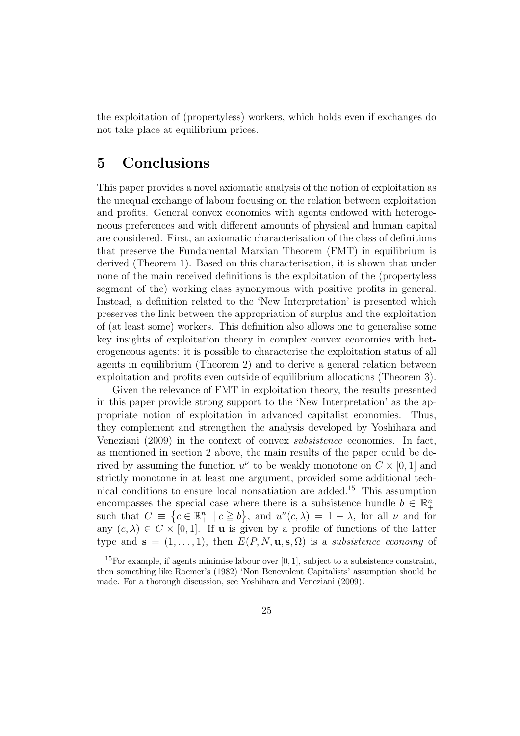the exploitation of (propertyless) workers, which holds even if exchanges do not take place at equilibrium prices.

#### 5 Conclusions

This paper provides a novel axiomatic analysis of the notion of exploitation as the unequal exchange of labour focusing on the relation between exploitation and profits. General convex economies with agents endowed with heterogeneous preferences and with different amounts of physical and human capital are considered. First, an axiomatic characterisation of the class of definitions that preserve the Fundamental Marxian Theorem (FMT) in equilibrium is derived (Theorem 1). Based on this characterisation, it is shown that under none of the main received definitions is the exploitation of the (propertyless segment of the) working class synonymous with positive profits in general. Instead, a definition related to the 'New Interpretation' is presented which preserves the link between the appropriation of surplus and the exploitation of (at least some) workers. This definition also allows one to generalise some key insights of exploitation theory in complex convex economies with heterogeneous agents: it is possible to characterise the exploitation status of all agents in equilibrium (Theorem 2) and to derive a general relation between exploitation and profits even outside of equilibrium allocations (Theorem 3).

Given the relevance of FMT in exploitation theory, the results presented in this paper provide strong support to the 'New Interpretation' as the appropriate notion of exploitation in advanced capitalist economies. Thus, they complement and strengthen the analysis developed by Yoshihara and Veneziani (2009) in the context of convex subsistence economies. In fact, as mentioned in section 2 above, the main results of the paper could be derived by assuming the function  $u^{\nu}$  to be weakly monotone on  $C \times [0, 1]$  and strictly monotone in at least one argument, provided some additional technical conditions to ensure local nonsatiation are added.<sup>15</sup> This assumption encompasses the special case where there is a subsistence bundle  $b \in \mathbb{R}^n_+$ such that  $C \equiv \{c \in \mathbb{R}^n_+ \mid c \geq b\}$ , and  $u^{\nu}(c, \lambda) = 1 - \lambda$ , for all  $\nu$  and for any  $(c, \lambda) \in C \times [0, 1]$ . If **u** is given by a profile of functions of the latter type and  $\mathbf{s} = (1, \ldots, 1)$ , then  $E(P, N, \mathbf{u}, \mathbf{s}, \Omega)$  is a *subsistence economy* of

<sup>&</sup>lt;sup>15</sup>For example, if agents minimise labour over [0, 1], subject to a subsistence constraint, then something like Roemer's (1982) 'Non Benevolent Capitalists' assumption should be made. For a thorough discussion, see Yoshihara and Veneziani (2009).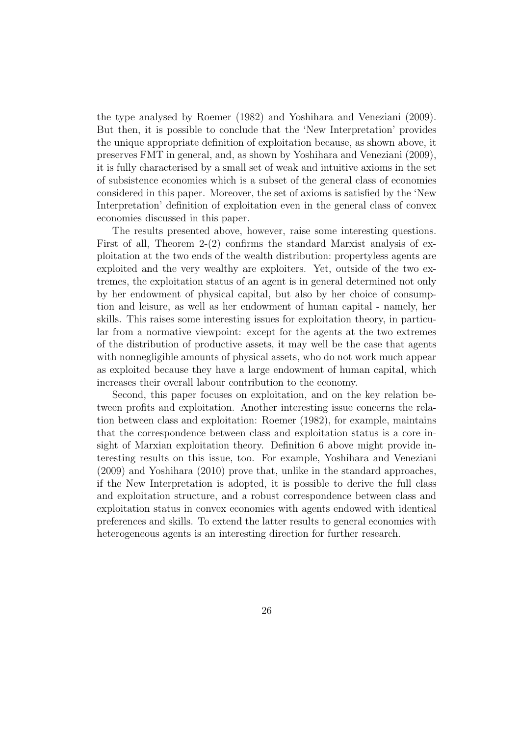the type analysed by Roemer (1982) and Yoshihara and Veneziani (2009). But then, it is possible to conclude that the 'New Interpretation' provides the unique appropriate definition of exploitation because, as shown above, it preserves FMT in general, and, as shown by Yoshihara and Veneziani (2009), it is fully characterised by a small set of weak and intuitive axioms in the set of subsistence economies which is a subset of the general class of economies considered in this paper. Moreover, the set of axioms is satisfied by the 'New Interpretation' definition of exploitation even in the general class of convex economies discussed in this paper.

The results presented above, however, raise some interesting questions. First of all, Theorem 2-(2) confirms the standard Marxist analysis of exploitation at the two ends of the wealth distribution: propertyless agents are exploited and the very wealthy are exploiters. Yet, outside of the two extremes, the exploitation status of an agent is in general determined not only by her endowment of physical capital, but also by her choice of consumption and leisure, as well as her endowment of human capital - namely, her skills. This raises some interesting issues for exploitation theory, in particular from a normative viewpoint: except for the agents at the two extremes of the distribution of productive assets, it may well be the case that agents with nonnegligible amounts of physical assets, who do not work much appear as exploited because they have a large endowment of human capital, which increases their overall labour contribution to the economy.

Second, this paper focuses on exploitation, and on the key relation between profits and exploitation. Another interesting issue concerns the relation between class and exploitation: Roemer (1982), for example, maintains that the correspondence between class and exploitation status is a core insight of Marxian exploitation theory. Definition 6 above might provide interesting results on this issue, too. For example, Yoshihara and Veneziani (2009) and Yoshihara (2010) prove that, unlike in the standard approaches, if the New Interpretation is adopted, it is possible to derive the full class and exploitation structure, and a robust correspondence between class and exploitation status in convex economies with agents endowed with identical preferences and skills. To extend the latter results to general economies with heterogeneous agents is an interesting direction for further research.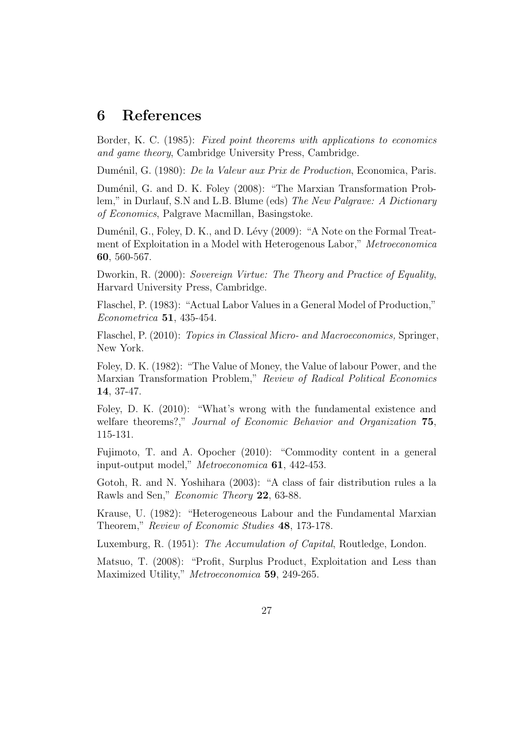#### 6 References

Border, K. C. (1985): Fixed point theorems with applications to economics and game theory, Cambridge University Press, Cambridge.

Duménil, G. (1980): *De la Valeur aux Prix de Production*, Economica, Paris.

Duménil, G. and D. K. Foley (2008): "The Marxian Transformation Problem," in Durlauf, S.N and L.B. Blume (eds) The New Palgrave: A Dictionary of Economics, Palgrave Macmillan, Basingstoke.

Duménil, G., Foley, D. K., and D. Lévy (2009): "A Note on the Formal Treatment of Exploitation in a Model with Heterogenous Labor," Metroeconomica 60, 560-567.

Dworkin, R. (2000): Sovereign Virtue: The Theory and Practice of Equality, Harvard University Press, Cambridge.

Flaschel, P. (1983): "Actual Labor Values in a General Model of Production," Econometrica 51, 435-454.

Flaschel, P. (2010): Topics in Classical Micro- and Macroeconomics, Springer, New York.

Foley, D. K. (1982): "The Value of Money, the Value of labour Power, and the Marxian Transformation Problem," Review of Radical Political Economics 14, 37-47.

Foley, D. K. (2010): "What's wrong with the fundamental existence and welfare theorems?," Journal of Economic Behavior and Organization 75, 115-131.

Fujimoto, T. and A. Opocher (2010): "Commodity content in a general input-output model," Metroeconomica 61, 442-453.

Gotoh, R. and N. Yoshihara (2003): "A class of fair distribution rules a la Rawls and Sen," Economic Theory 22, 63-88.

Krause, U. (1982): "Heterogeneous Labour and the Fundamental Marxian Theorem," Review of Economic Studies 48, 173-178.

Luxemburg, R. (1951): The Accumulation of Capital, Routledge, London.

Matsuo, T. (2008): "Profit, Surplus Product, Exploitation and Less than Maximized Utility," Metroeconomica 59, 249-265.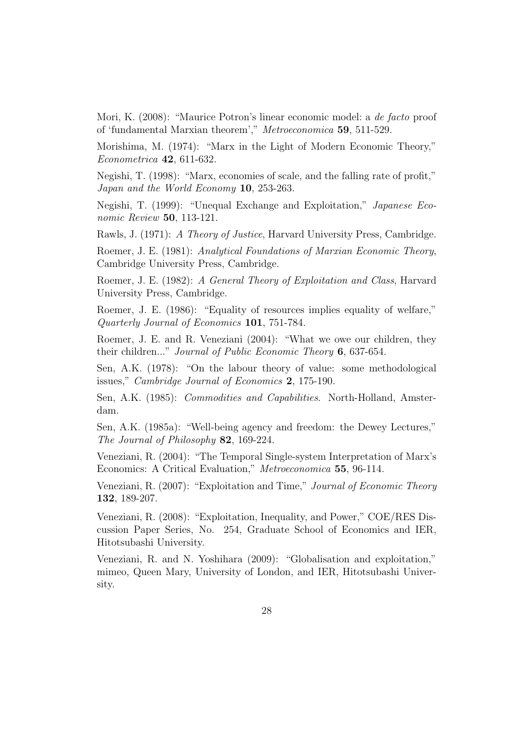Mori, K. (2008): "Maurice Potron's linear economic model: a de facto proof of 'fundamental Marxian theorem'," Metroeconomica 59, 511-529.

Morishima, M. (1974): "Marx in the Light of Modern Economic Theory," Econometrica 42, 611-632.

Negishi, T. (1998): "Marx, economies of scale, and the falling rate of profit," Japan and the World Economy 10, 253-263.

Negishi, T. (1999): "Unequal Exchange and Exploitation," Japanese Economic Review 50, 113-121.

Rawls, J. (1971): A Theory of Justice, Harvard University Press, Cambridge.

Roemer, J. E. (1981): Analytical Foundations of Marxian Economic Theory, Cambridge University Press, Cambridge.

Roemer, J. E. (1982): A General Theory of Exploitation and Class, Harvard University Press, Cambridge.

Roemer, J. E. (1986): "Equality of resources implies equality of welfare," Quarterly Journal of Economics 101, 751-784.

Roemer, J. E. and R. Veneziani (2004): "What we owe our children, they their children..." *Journal of Public Economic Theory* 6, 637-654.

Sen, A.K. (1978): "On the labour theory of value: some methodological issues," Cambridge Journal of Economics 2, 175-190.

Sen, A.K. (1985): *Commodities and Capabilities.* North-Holland, Amsterdam.

Sen, A.K. (1985a): "Well-being agency and freedom: the Dewey Lectures," The Journal of Philosophy 82, 169-224.

Veneziani, R. (2004): "The Temporal Single-system Interpretation of Marx's Economics: A Critical Evaluation," Metroeconomica 55, 96-114.

Veneziani, R. (2007): "Exploitation and Time," Journal of Economic Theory 132, 189-207.

Veneziani, R. (2008): "Exploitation, Inequality, and Power," COE/RES Discussion Paper Series, No. 254, Graduate School of Economics and IER, Hitotsubashi University.

Veneziani, R. and N. Yoshihara (2009): "Globalisation and exploitation," mimeo, Queen Mary, University of London, and IER, Hitotsubashi University.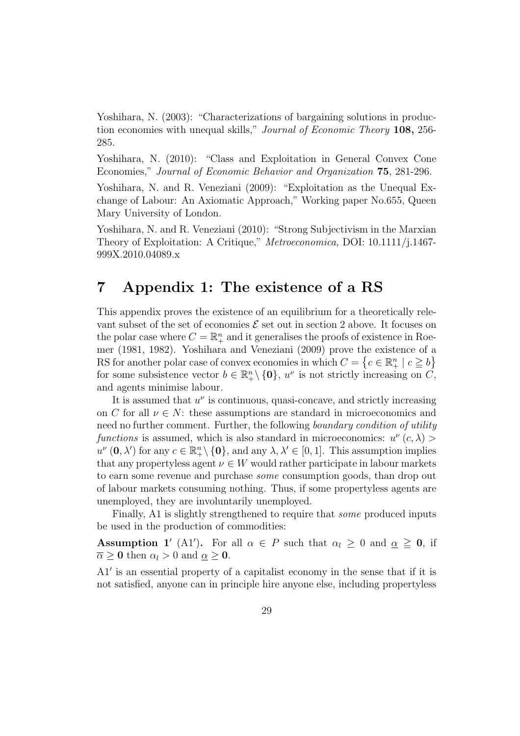Yoshihara, N. (2003): "Characterizations of bargaining solutions in production economies with unequal skills," *Journal of Economic Theory* 108, 256-285.

Yoshihara, N. (2010): "Class and Exploitation in General Convex Cone Economies," Journal of Economic Behavior and Organization 75, 281-296.

Yoshihara, N. and R. Veneziani (2009): "Exploitation as the Unequal Exchange of Labour: An Axiomatic Approach," Working paper No.655, Queen Mary University of London.

Yoshihara, N. and R. Veneziani (2010): "Strong Subjectivism in the Marxian Theory of Exploitation: A Critique," Metroeconomica, DOI: 10.1111/j.1467- 999X.2010.04089.x

### 7 Appendix 1: The existence of a RS

This appendix proves the existence of an equilibrium for a theoretically relevant subset of the set of economies  $\mathcal E$  set out in section 2 above. It focuses on the polar case where  $C = \mathbb{R}^n_+$  and it generalises the proofs of existence in Roemer (1981, 1982). Yoshihara and Veneziani (2009) prove the existence of a RS for another polar case of convex economies in which  $C = \{c \in \mathbb{R}^n_+ \mid c \geq b\}$ for some subsistence vector  $b \in \mathbb{R}^n_+ \setminus \{0\}$ ,  $u^{\nu}$  is not strictly increasing on  $\check{C}$ , and agents minimise labour.

It is assumed that  $u^{\nu}$  is continuous, quasi-concave, and strictly increasing on C for all  $\nu \in N$ : these assumptions are standard in microeconomics and need no further comment. Further, the following boundary condition of utility functions is assumed, which is also standard in microeconomics:  $u^{\nu}(c, \lambda)$  $u^{\nu}$  (0,  $\lambda'$ ) for any  $c \in \mathbb{R}^n_+ \setminus \{0\}$ , and any  $\lambda, \lambda' \in [0, 1]$ . This assumption implies that any propertyless agent  $\nu \in W$  would rather participate in labour markets to earn some revenue and purchase some consumption goods, than drop out of labour markets consuming nothing. Thus, if some propertyless agents are unemployed, they are involuntarily unemployed.

Finally, A1 is slightly strengthened to require that some produced inputs be used in the production of commodities:

**Assumption 1'** (A1'). For all  $\alpha \in P$  such that  $\alpha_l \geq 0$  and  $\alpha \geq 0$ , if  $\overline{\alpha} \geq 0$  then  $\alpha_l > 0$  and  $\underline{\alpha} \geq 0$ .

A1' is an essential property of a capitalist economy in the sense that if it is not satisfied, anyone can in principle hire anyone else, including propertyless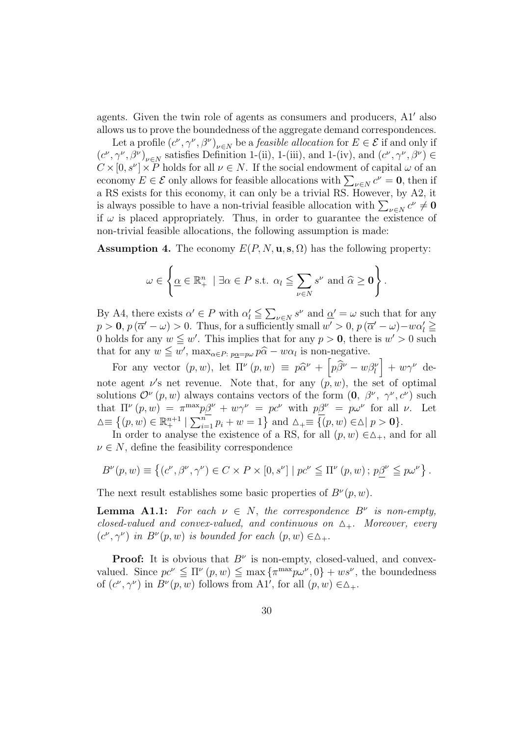agents. Given the twin role of agents as consumers and producers,  $A1'$  also allows us to prove the boundedness of the aggregate demand correspondences.

Let a profile  $(c^{\nu}, \gamma^{\nu}, \beta^{\nu})_{\nu \in N}$  be a *feasible allocation* for  $E \in \mathcal{E}$  if and only if  $(c^{\nu}, \gamma^{\nu}, \beta^{\nu})_{\nu \in N}$  satisfies Definition 1-(ii), 1-(iii), and 1-(iv), and  $(c^{\nu}, \gamma^{\nu}, \beta^{\nu}) \in$  $C \times [0, s^{\nu}] \times P$  holds for all  $\nu \in N$ . If the social endowment of capital  $\omega$  of an  $C \times [0, S] \times P$  holds for all  $\nu \in N$ . It the social endowment of capital  $\omega$  of an economy  $E \in \mathcal{E}$  only allows for feasible allocations with  $\sum_{\nu \in N} c^{\nu} = \mathbf{0}$ , then if a RS exists for this economy, it can only be a trivial RS. However, by A2, it a KS exists for this economy, it can omy be a trivial KS. However, by Az, it is always possible to have a non-trivial feasible allocation with  $\sum_{\nu \in N} c^{\nu} \neq \mathbf{0}$ if  $\omega$  is placed appropriately. Thus, in order to guarantee the existence of non-trivial feasible allocations, the following assumption is made:

**Assumption 4.** The economy  $E(P, N, \mathbf{u}, \mathbf{s}, \Omega)$  has the following property:

$$
\omega \in \left\{ \underline{\alpha} \in \mathbb{R}^n_+ \mid \exists \alpha \in P \text{ s.t. } \alpha_l \leqq \sum_{\nu \in N} s^{\nu} \text{ and } \widehat{\alpha} \geq \mathbf{0} \right\}.
$$

By A4, there exists  $\alpha' \in P$  with  $\alpha'_l \leq$  $\overline{ }$  $\psi \in N$  s<sup>v</sup> and  $\underline{\alpha}' = \omega$  such that for any  $p > 0$ ,  $p(\overline{\alpha}' - \omega) > 0$ . Thus, for a sufficiently small  $w' > 0$ ,  $p(\overline{\alpha}' - \omega) - w\alpha' \geq 0$ 0 holds for any  $w \leq w'$ . This implies that for any  $p > 0$ , there is  $w' > 0$  such that for any  $w \leq w'$ ,  $\max_{\alpha \in P: p_{\underline{\alpha}} = p_{\omega}} p\widehat{\alpha} - w\alpha_l$  is non-negative. i

For any vector  $(p, w)$ , let  $\Pi^{\nu}(p, w) \equiv p\hat{\alpha}^{\nu} + \left| p\hat{\beta}^{\nu} - w\beta^{\nu}_{l} \right|$  $+ w \gamma^{\nu}$  denote agent  $\nu$ 's net revenue. Note that, for any  $(\rho, w)$ , the set of optimal solutions  $\mathcal{O}^{\nu}(p,w)$  always contains vectors of the form  $(0, \beta^{\nu}, \gamma^{\nu}, c^{\nu})$  such that  $\Pi^{\nu}(p, w) = \pi^{\max} p\beta^{\nu} + w\gamma^{\nu} = pc^{\nu}$  with  $p\beta^{\nu} = p\omega^{\nu}$  for all  $\nu$ . Let  $\Delta \equiv \left\{ (p, w) \in \mathbb{R}^{n+1}_+ \mid \right.$  $p\frac{p}{p} + w\gamma = pc$  with  $p\frac{p}{p} = pw$  for an  $\sum_{i=1}^n p_i + w = 1$  and  $\Delta_+ \equiv \{ (p, w) \in \Delta \mid p > 0 \}.$ 

In order to analyse the existence of a RS, for all  $(p, w) \in \Delta_+$ , and for all  $\nu \in N$ , define the feasibility correspondence

$$
B^{\nu}(p, w) \equiv \left\{ (c^{\nu}, \beta^{\nu}, \gamma^{\nu}) \in C \times P \times [0, s^{\nu}] \mid pc^{\nu} \leq \Pi^{\nu}(p, w) \, ; \, p\underline{\beta}^{\nu} \leq p\omega^{\nu} \right\}.
$$

The next result establishes some basic properties of  $B^{\nu}(p, w)$ .

**Lemma A1.1:** For each  $\nu \in N$ , the correspondence  $B^{\nu}$  is non-empty, closed-valued and convex-valued, and continuous on  $\Delta_+$ . Moreover, every  $(c^{\nu}, \gamma^{\nu})$  in  $B^{\nu}(p, w)$  is bounded for each  $(p, w) \in \Delta_+$ .

**Proof:** It is obvious that  $B^{\nu}$  is non-empty, closed-valued, and convexvalued. Since  $pc^{\nu} \leq \Pi^{\nu} (p, w) \leq \max \{ \pi^{\max} p \omega^{\nu}, 0 \} + ws^{\nu}$ , the boundedness of  $(c^{\nu}, \gamma^{\nu})$  in  $B^{\nu}(p, w)$  follows from A1', for all  $(p, w) \in \Delta_+$ .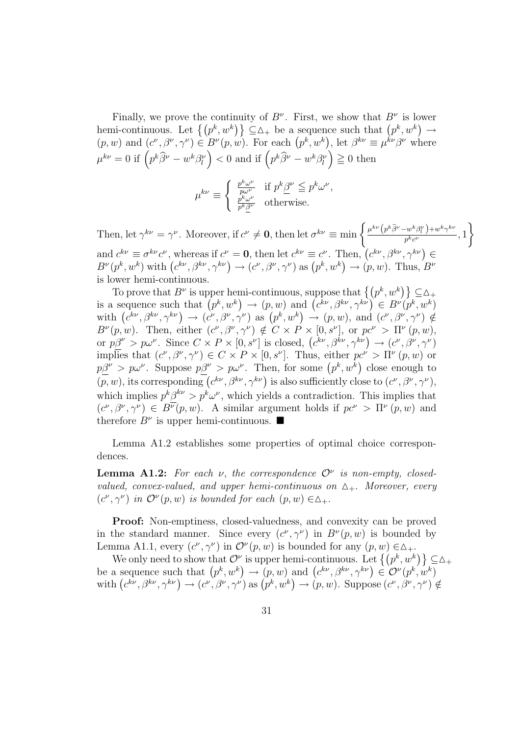Finally, we prove the continuity of  $B^{\nu}$ . First, we show that  $B^{\nu}$  is lower Finally, we prove the continuity of  $B^*$ . First, we show that  $B^*$  is lower<br>hemi-continuous. Let  $\{(p^k, w^k)\}\subseteq \Delta_+$  be a sequence such that  $(p^k, w^k) \rightarrow$ nemi-continuous. Let  $\{(p^k, w^k)\}\subseteq \Delta_+$  be a sequence such that  $(p^k, w^k) \rightarrow (p, w)$  and  $(c^{\nu}, \beta^{\nu}, \gamma^{\nu}) \in B^{\nu}(p, w)$ . For each  $(p^k, w^k)$ , let  $\beta^{k\nu} \equiv \mu^{k\nu} \beta^{\nu}$  where  $(\mu, w)$  and  $(c^*, \beta^*, \gamma^*) \in B^*(p, w)$ . For each  $(p^*, w^*)$ , let  $\beta^* =$ <br>  $\mu^{k\nu} = 0$  if  $(p^k\hat{\beta}^{\nu} - w^k\beta_l^{\nu}) < 0$  and if  $(p^k\hat{\beta}^{\nu} - w^k\beta_l^{\nu}) \ge 0$  then

$$
\mu^{k\nu}\equiv \left\{ \begin{array}{ll} \frac{p^k\omega^\nu}{p\omega^\nu} & \text{if } p^k\underline{\beta}^\nu\leqq p^k\omega^\nu,\\ \frac{p^k\omega^\nu}{p^k\underline{\beta}^\nu} & \text{otherwise.} \end{array} \right.
$$

Then, let  $\gamma^{k\nu} = \gamma^{\nu}$ . Moreover, if  $c^{\nu} \neq \mathbf{0}$ , then let  $\sigma^{k\nu} \equiv \min \left\{ \frac{\sigma^k}{\sigma^k} \right\}$  $\mu^{k\nu}\left(p^k\widehat{\beta}^\nu -w^k\beta^\nu_l\right)+w^k\gamma^{k\nu}$  $\frac{w \mu_l + w \mu_l}{p^k c^{\nu}}, 1$  $\mathbf{A}^{\dagger}$ and  $c^{k\nu} \equiv \sigma^{k\nu} c^{\nu}$ , whereas if  $c^{\nu} = 0$ , then let  $c^{k\nu} \equiv c^{\nu}$ . Then,  $(c^{k\nu}, \beta^{k\nu}, \gamma^{k\nu}) \in \mathbb{R}^m$ and  $c^* \equiv \sigma^* c$ , whereas if  $c^* = \mathbf{0}$ , then let  $c^* \equiv c^*$ . Then,  $(c^*, \beta^*, \gamma^*) \in B^{\nu}(p^k, w^k)$  with  $(c^{k\nu}, \beta^{k\nu}, \gamma^{k\nu}) \rightarrow (c^{\nu}, \beta^{\nu}, \gamma^{\nu})$  as  $(p^k, w^k) \rightarrow (p, w)$ . Thus,  $B^{\nu}$ is lower hemi-continuous.

To prove that  $B^{\nu}$  is upper hemi-continuous, suppose that  $\{(p^k, w^k)\}\subseteq \Delta_+$ To prove that  $B^*$  is upper nemi-continuous, suppose that  $\{(p^*, w^*)\}\subseteq \Delta_+$ <br>is a sequence such that  $(p^k, w^k) \to (p, w)$  and  $(c^{k\nu}, \beta^{k\nu}, \gamma^{k\nu}) \in B^{\nu}(p^k, w^k)$ is a sequence such that  $(p^{\alpha}, w^{\alpha}) \rightarrow (p, w)$  and  $(c^{\alpha}, \beta^{\alpha}, \gamma^{\alpha}) \in B^{\alpha}(p^{\alpha}, w^{\alpha})$ <br>with  $(c^{k\nu}, \beta^{k\nu}, \gamma^{k\nu}) \rightarrow (c^{\nu}, \beta^{\nu}, \gamma^{\nu})$  as  $(p^k, w^k) \rightarrow (p, w)$ , and  $(c^{\nu}, \beta^{\nu}, \gamma^{\nu}) \notin$  $B^{\nu}(p,w)$ . Then, either  $(c^{\nu}, \beta^{\nu}, \gamma^{\nu}) \notin C \times P \times [0, s^{\nu}]$ , or  $pc^{\nu} > \Pi^{\nu}(p,w)$ ,  $B^{\nu}(p, w)$ . Then, either  $(c^{\nu}, \beta^{\nu}, \gamma^{\nu}) \notin C \times P \times [0, s^{\nu}]$ , or  $pc^{\nu} > \Pi^{\nu}(p, w)$ ,<br>or  $p\beta^{\nu} > p\omega^{\nu}$ . Since  $C \times P \times [0, s^{\nu}]$  is closed,  $(c^{k\nu}, \beta^{k\nu}, \gamma^{k\nu}) \to (c^{\nu}, \beta^{\nu}, \gamma^{\nu})$ implies that  $(c^{\nu}, \beta^{\nu}, \gamma^{\nu}) \in C \times P \times [0, s^{\nu}]$ . Thus, either  $pc^{\nu} > \Pi^{\nu}(p, w)$  or mplies that  $(c^r, p^r, \gamma^r) \in C \times P \times [0, s^r]$ . Thus, either  $pc^r > 11^r (p, w)$  or  $p\beta^{\nu} > p\omega^{\nu}$ . Suppose  $p\beta^{\nu} > p\omega^{\nu}$ . Then, for some  $(p^k, w^k)$  close enough to  $\frac{p}{p} > p\omega$ . Suppose  $p\omega > p\omega$ . Then, for some  $(p, w)$  close enough to  $(p, w)$ , its corresponding  $(c^{k\nu}, \beta^{k\nu}, \gamma^{k\nu})$  is also sufficiently close to  $(c^{\nu}, \beta^{\nu}, \gamma^{\nu})$ , which implies  $p^k \beta^{k\nu} > p^k \omega^{\nu}$ , which yields a contradiction. This implies that  $(c^{\nu}, \beta^{\nu}, \gamma^{\nu}) \in B^{\overline{\nu}}(p, w)$ . A similar argument holds if  $pc^{\nu} > \Pi^{\nu}(p, w)$  and therefore  $B^{\nu}$  is upper hemi-continuous.  $\blacksquare$ 

Lemma A1.2 establishes some properties of optimal choice correspondences.

**Lemma A1.2:** For each v, the correspondence  $\mathcal{O}^{\nu}$  is non-empty, closedvalued, convex-valued, and upper hemi-continuous on  $\Delta_+$ . Moreover, every  $(c^{\nu}, \gamma^{\nu})$  in  $\mathcal{O}^{\nu}(p, w)$  is bounded for each  $(p, w) \in \Delta_+$ .

Proof: Non-emptiness, closed-valuedness, and convexity can be proved in the standard manner. Since every  $(c^{\nu}, \gamma^{\nu})$  in  $B^{\nu}(p, w)$  is bounded by Lemma A1.1, every  $(c^{\nu}, \gamma^{\nu})$  in  $\mathcal{O}^{\nu}(p, w)$  is bounded for any  $(p, w) \in \Delta_+$ .

 $\mathcal{L}(\mathcal{D}, \mathcal{D}) = \mathcal{L}(\mathcal{D}, \mathcal{D})$  is bounded for any  $(p, w) \in \Delta_+$ .<br>We only need to show that  $\mathcal{D}^{\nu}$  is upper hemi-continuous. Let  $\{(p^k, w^k)\}\subseteq \Delta_+$ we only need to show that  $O^*$  is upper nemi-continuous. Let  $\{(p^k, w^k)\}\subseteq$ <br>be a sequence such that  $(p^k, w^k) \to (p, w)$  and  $(c^{k\nu}, \beta^{k\nu}, \gamma^{k\nu}) \in O^{\nu}(p^k, w^k)$ <br>with  $(c^{k\nu}, \beta^{k\nu}, \gamma^{k\nu}) \to (c^{\nu}, \beta^{\nu}, \gamma^{\nu})$  as  $(p^k, w^k)$ d<br>、  $\rightarrow (p, w)$ . Suppose  $(c^{\nu}, \beta^{\nu}, \gamma^{\nu}) \notin$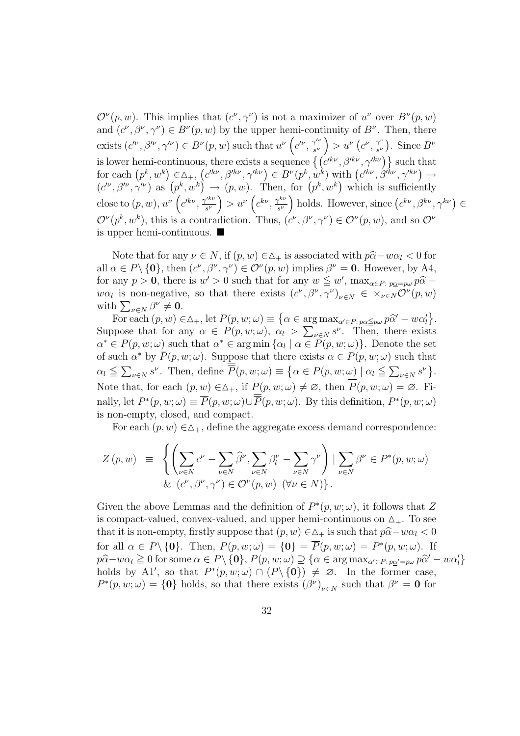$\mathcal{O}^{\nu}(p,w)$ . This implies that  $(c^{\nu}, \gamma^{\nu})$  is not a maximizer of  $u^{\nu}$  over  $B^{\nu}(p,w)$ and  $(c^{\nu}, \beta^{\nu}, \gamma^{\nu}) \in B^{\nu}(p, w)$  by the upper hemi-continuity of  $B^{\nu}$ . Then, there exists  $(c^{\prime\nu}, \beta^{\prime\nu}, \gamma^{\prime\nu}) \in B^{\nu}(p, w)$  such that  $u^{\nu}(c^{\prime\nu}, \gamma^{\prime\nu})$  $\frac{\gamma^{\prime\nu}}{s^\nu}\Big)>u^\nu$ ∶'<br>∶  $c^{\nu}$ ,  $\frac{\gamma^{\nu}}{c^{\nu}}$  $\overline{s^{\nu}}$ ¢ . Since  $B^{\nu}$ is lower hemi-continuous, there exists a sequence  $\{ (c'^{kv}, \beta'^{kv}, \gamma'^{kv}) \}$  such that is lower nemi-continuous, there exists a sequence  $\{ (c^w, \beta^w, \gamma^w) \}$  such that<br>for each  $(p^k, w^k) \in \Delta_+$ ,  $(c'^{k\nu}, \beta'^{k\nu}, \gamma'^{k\nu}) \in B^{\nu}(p^k, w^k)$  with  $(c'^{k\nu}, \beta'^{k\nu}, \gamma'^{k\nu}) \to$ for each  $(p^{\alpha}, w^{\alpha}) \in \Delta_+$ ,<br> $(c'^{\nu}, \beta'^{\nu}, \gamma'^{\nu})$  as  $(p^k, w^k)$  $(c^{\infty}, \beta^{\infty}, \gamma^{\infty}) \in B^{*}(p^{\alpha}, w^{\alpha})$  where  $(p^k, w^k)$  $\frac{1}{\sqrt{2}}$  $(p^k, w^k) \rightarrow (p, w)$ . Then, for  $(p^k, w^k)$  which is sufficiently close to  $(p, w)$ ,  $u^{\nu} (c'^{k\nu}, \frac{\gamma'^{k\nu}}{c^{\nu}})$  $\left(\frac{c^{k\nu}}{s^{\nu}}\right) > u^{\nu}\left(c^{k\nu},\frac{\gamma^{k\nu}}{s^{\nu}}\right)$  $\left( e^{k\nu}, e^{k\nu} \right)$  holds. However, since  $(e^{k\nu}, \beta^{k\nu}, \gamma^{k\nu}) \in$  $\mathcal{O}^{\nu}(p^k, w^k)$ , this is a contradiction. Thus,  $(c^{\nu}, \beta^{\nu}, \gamma^{\nu}) \in \mathcal{O}^{\nu}(p, w)$ , and so  $\mathcal{O}^{\nu}$ is upper hemi-continuous.  $\blacksquare$ 

Note that for any  $\nu \in N$ , if  $(p, w) \in \Delta_+$  is associated with  $p\hat{\alpha} - w\alpha_l < 0$  for all  $\alpha \in P \setminus \{0\}$ , then  $(c^{\nu}, \beta^{\nu}, \gamma^{\nu}) \in \mathcal{O}^{\nu}(p, w)$  implies  $\beta^{\nu} = 0$ . However, by A4, for any  $p > 0$ , there is  $w' > 0$  such that for any  $w \leq w'$ ,  $\max_{\alpha \in P: p_{\alpha} = p_{\alpha}} p\hat{\alpha}$  $w\alpha_l$  is non-negative, so that there exists  $(c^{\nu}, \beta^{\nu}, \gamma^{\nu})_{\nu \in N} \in \times_{\nu \in N} \mathcal{O}^{\nu}(p, w)$ with  $\sum_{\nu \in N} \beta^{\nu} \neq \mathbf{0}$ .  $\overline{a}$ ª

For each  $(p, w) \in \Delta_+$ , let  $P(p, w; \omega) \equiv$  $\alpha \in \arg\max_{\alpha' \in P : p_{\underline{\alpha}} \leq p_{\omega}} p_{\widehat{\alpha}'} - w \alpha'_{\underline{l}}$ . Suppose that for any  $\alpha \in P(p, w; \omega)$ ,  $\alpha_l >$  $\sum$  $v \in N$   $s^{\nu}$ . Then, there exists  $\alpha^* \in P(p, w; \omega)$  such that  $\alpha^* \in \arg \min \{\alpha_l \mid \alpha \in \overline{P}(p, w; \omega)\}\)$ . Denote the set of such  $\alpha^*$  by  $\overline{P}(p, w; \omega)$ . Suppose that there exists  $\alpha \in P(p, w; \omega)$  such that  $\alpha_l \leq$  $\overline{ }$  $_{\nu \in N} s^{\nu}$ . Then, define  $\overline{P}(p, w; \omega) \equiv$ ⊥'<br>م  $\alpha \in P(p, w; \omega) \mid \alpha_l \leq$  $\overline{\phantom{a}}$  $\begin{bmatrix} \text{ucl} & \text{ucl} \\ \text{ucl} & s^{\nu} \end{bmatrix}$ . Note that, for each  $(p, w) \in \Delta_+$ , if  $\overline{P}(p, w; \omega) \neq \emptyset$ , then  $\overline{P}(p, w; \omega) = \emptyset$ . Finally, let  $P^*(p, w; \omega) \equiv \overline{P}(p, w; \omega) \cup \overline{P}(p, w; \omega)$ . By this definition,  $P^*(p, w; \omega)$ is non-empty, closed, and compact.

For each  $(p, w) \in \Delta_+$ , define the aggregate excess demand correspondence:

$$
Z(p, w) = \left\{ \left( \sum_{\nu \in N} c^{\nu} - \sum_{\nu \in N} \widehat{\beta}^{\nu}, \sum_{\nu \in N} \beta^{\nu}_{l} - \sum_{\nu \in N} \gamma^{\nu} \right) \mid \sum_{\nu \in N} \beta^{\nu} \in P^{*}(p, w; \omega) \right\}
$$
  
&  $(c^{\nu}, \beta^{\nu}, \gamma^{\nu}) \in \mathcal{O}^{\nu}(p, w) \quad (\forall \nu \in N)$ .

Given the above Lemmas and the definition of  $P^*(p, w; \omega)$ , it follows that Z is compact-valued, convex-valued, and upper hemi-continuous on  $\Delta_{+}$ . To see that it is non-empty, firstly suppose that  $(p, w) \in \Delta_+$  is such that  $p\hat{\alpha} - w\alpha_l < 0$ for all  $\alpha \in P \setminus \{0\}$ . Then,  $P(p, w; \omega) = \{0\} = \overline{P}(p, w; \omega) = P^*(p, w; \omega)$ . If  $p\hat{\alpha}-w\alpha_l \geq 0$  for some  $\alpha \in P \setminus \{\mathbf{0}\}, P(p, w; \omega) \supseteq {\alpha \in \arg\max_{\alpha' \in P: p\underline{\alpha}'=p\omega} p\hat{\alpha}' - w\alpha'_l }$ holds by A1', so that  $P^*(p, w; \omega) \cap (P \setminus \{0\}) \neq \emptyset$ . In the former case,  $P^*(p, w; \omega) = \{0\}$  holds, so that there exists  $(\beta^{\nu})_{\nu \in N}$  such that  $\beta^{\nu} = 0$  for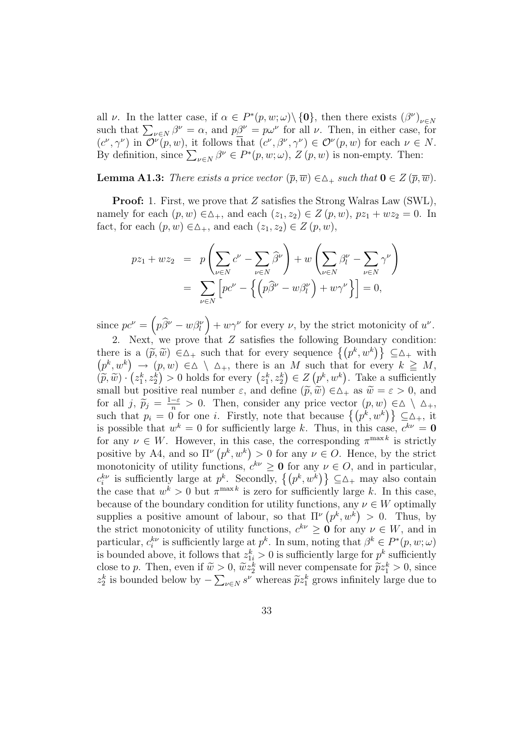all  $\nu$ . In the latter case, if  $\alpha \in P^*(p, w; \omega) \setminus \{\mathbf{0}\}$ , then there exists  $(\beta^{\nu})_{\nu \in N}$ <br>such that  $\sum_{\nu \in N} \beta^{\nu} = \alpha$ , and  $p\underline{\beta}^{\nu} = p\omega^{\nu}$  for all  $\nu$ . Then, in either case, for  $(c^{\nu}, \gamma^{\nu})$  in  $\mathcal{O}^{\nu}(p, w)$ , it follows that  $(c^{\nu}, \beta^{\nu}, \gamma^{\nu}) \in \mathcal{O}^{\nu}(p, w)$  for each  $\nu \in N$ . (c,  $\gamma$ ) in  $\mathcal{O}$  (p, w), it follows that  $(c, \beta, \gamma) \in \mathcal{O}$  (p, w) for each  $\nu \in$ <br>By definition, since  $\sum_{\nu \in N} \beta^{\nu} \in P^*(p, w; \omega)$ ,  $Z(p, w)$  is non-empty. Then:

**Lemma A1.3:** There exists a price vector  $(\overline{p}, \overline{w}) \in \Delta_+$  such that  $0 \in Z(\overline{p}, \overline{w})$ .

**Proof:** 1. First, we prove that Z satisfies the Strong Walras Law (SWL), namely for each  $(p, w) \in ∆_+$ , and each  $(z_1, z_2) \in Z(p, w)$ ,  $pz_1 + wz_2 = 0$ . In fact, for each  $(p, w) \in \Delta_+$ , and each  $(z_1, z_2) \in Z(p, w)$ ,

$$
pz_1 + wz_2 = p\left(\sum_{\nu \in N} c^{\nu} - \sum_{\nu \in N} \widehat{\beta}^{\nu}\right) + w\left(\sum_{\nu \in N} \beta^{\nu} - \sum_{\nu \in N} \gamma^{\nu}\right)
$$
  
= 
$$
\sum_{\nu \in N} \left[pc^{\nu} - \left\{\left(p\widehat{\beta}^{\nu} - w\beta^{\nu}\right) + w\gamma^{\nu}\right\}\right] = 0,
$$

since  $pc^{\nu} =$  $\overline{a}$  $p\widehat{\beta}^\nu - w\beta^\nu_l$ ´  $+w\gamma^{\nu}$  for every  $\nu$ , by the strict motonicity of  $u^{\nu}$ .

2. Next, we prove that Z satisfies the following Boundary condition: 2. Next, we prove that Z satisfies the following Boundary condition:<br>there is a  $(\tilde{p}, \tilde{w}) \in \Delta_+$  such that for every sequence  $\{(p^k, w^k)\}\subseteq \Delta_+$  with  $p^k, w^k$  $\frac{8}{1}$  $(p, w) \in \Delta \setminus \Delta_+$ , there is an M such that for every  $k \geq M$ ,  $(p^k, w^k) \to (p, w) \in \Delta \setminus \Delta_+$ , there is an *M* such that for every  $k \leq M$ ,<br>  $(\widetilde{p}, \widetilde{w}) \cdot (z_1^k, z_2^k) > 0$  holds for every  $(z_1^k, z_2^k) \in Z(p^k, w^k)$ . Take a sufficiently small but positive real number  $\varepsilon$ , and define  $(\tilde{p}, \tilde{w}) \in \Delta_+$  as  $\tilde{w} = \varepsilon > 0$ , and for all  $j, \tilde{p}_j = \frac{1-\varepsilon}{n} > 0$ . Then, consider any price vector  $(p, w) \in \Delta \setminus \Delta_+$ , such that  $p_i = 0$  for one *i*. Firstly, note that because  $\{(p^k, w^k)\}\subseteq \Delta_+$ , it is possible that  $w^k = 0$  for sufficiently large k. Thus, in this case,  $c^{k\nu} = 0$ for any  $\nu \in W$ . However, in this case, the corresponding  $\pi^{\max k}$  is strictly positive by A4, and so  $\Pi^{\nu}(p^k, w^k) > 0$  for any  $\nu \in O$ . Hence, by the strict monotonicity of utility functions,  $c^{k\nu} \ge 0$  for any  $\nu \in O$ , and in particular, monotonicity of utility functions,  $c^w \geq 0$  for any  $\nu \in O$ , and in particular,  $c_i^{k\nu}$  is sufficiently large at  $p^k$ . Secondly,  $\{(p^k, w^k)\}\subseteq \Delta_+$  may also contain the case that  $w^k > 0$  but  $\pi^{\max k}$  is zero for sufficiently large k. In this case, because of the boundary condition for utility functions, any  $\nu \in W$  optimally supplies a positive amount of labour, so that  $\Pi^{\nu}(p^k, w^k) > 0$ . Thus, by the strict monotonicity of utility functions,  $c^{k\nu} \geq 0$  for any  $\nu \in W$ , and in particular,  $c_i^{k\nu}$  is sufficiently large at  $p^k$ . In sum, noting that  $\beta^k \in P^*(p, w; \omega)$ is bounded above, it follows that  $z_{1i}^k > 0$  is sufficiently large for  $p^k$  sufficiently close to p. Then, even if  $\tilde{w} > 0$ ,  $\tilde{w}z_2^k$  will never compensate for  $\tilde{p}z_1^k > 0$ , since  $z_2^k$  is bounded below by  $\stackrel{>}{{\frown}}$  $v \in N$  s<sup>v</sup> whereas  $\widetilde{p}z_1^k$  grows infinitely large due to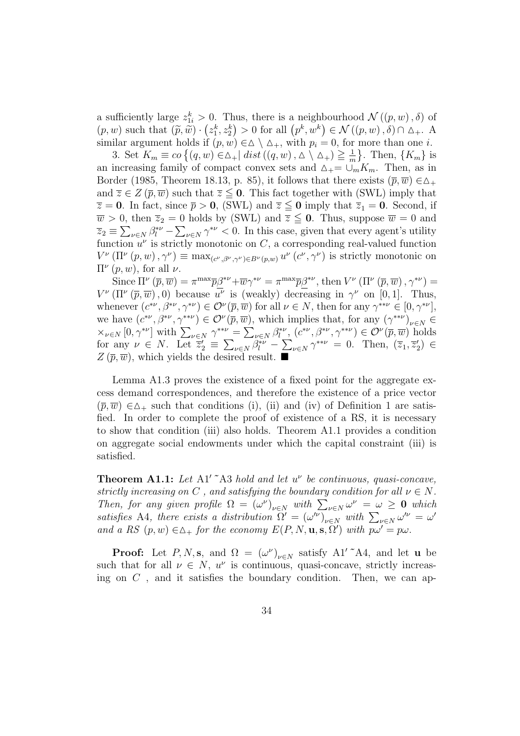a sufficiently large  $z_{1i}^k > 0$ . Thus, there is a neighbourhood  $\mathcal{N}((p, w), \delta)$  of a sumclently large  $z_{1i}^* > 0$ . Thus, there is a neighbourhood  $\mathcal{N}((p, w), o)$  or  $(p, w)$  such that  $(\widetilde{p}, \widetilde{w}) \cdot (z_1^k, z_2^k) > 0$  for all  $(p^k, w^k) \in \mathcal{N}((p, w), \delta) \cap \Delta_+$ . A similar argument holds if  $(p, w) \in \Delta \setminus \Delta_+$ , with  $p_i = 0$ , for more than one *i*.

 $\alpha$  are and  $\alpha$  is  $\alpha$  is  $p_i \in \Delta \setminus \Delta_+$ , with  $p_i = 0$ , for <br>3. Set  $K_m \equiv co \{(q, w) \in \Delta_+ | dist((q, w), \Delta \setminus \Delta_+) \geq \frac{1}{m})\}$  $\frac{1}{m}$ . Then,  $\{K_m\}$  is an increasing family of compact convex sets and  $\Delta_+ = \cup_m K_m$ . Then, as in Border (1985, Theorem 18.13, p. 85), it follows that there exists  $(\bar{p}, \bar{w}) \in \Delta_+$ and  $\overline{z} \in Z(\overline{p}, \overline{w})$  such that  $\overline{z} \leq 0$ . This fact together with (SWL) imply that  $\overline{z} = 0$ . In fact, since  $\overline{p} > 0$ , (SWL) and  $\overline{z} \leq 0$  imply that  $\overline{z}_1 = 0$ . Second, if  $\overline{w} > 0$ , then  $\overline{z}_2 = 0$  holds by (SWL) and  $\overline{z} \leq 0$ . Thus, suppose  $\overline{w} = 0$  and  $\overline{z}_2 \equiv \sum_{\nu \in N} \beta_l^{*\nu} - \sum_{\nu \in N} \gamma^{*\nu} < 0$ . In this case, given that every agent's utility function  $u^{\nu}$  is strictly monotonic on C, a corresponding real-valued function  $V^{\nu}(\Pi^{\nu}(p,w),\gamma^{\nu}) \equiv \max_{(c^{\nu},\beta^{\nu},\gamma^{\nu})\in B^{\nu}(p,w)} u^{\nu}(c^{\nu},\gamma^{\nu})$  is strictly monotonic on  $\Pi^{\nu}(p,w)$ , for all  $\nu$ .

Since  $\Pi^{\nu}(\bar{p},\bar{w}) = \pi^{\max}\bar{p}\beta^{*\nu} + \bar{w}\gamma^{*\nu} = \pi^{\max}\bar{p}\beta^{*\nu}$ , then  $V^{\nu}(\Pi^{\nu}(\bar{p},\bar{w}),\gamma^{*\nu}) =$  $V^{\nu}(\Pi^{\nu}(\overline{p},\overline{w}),0)$  because  $\overline{u^{\nu}}$  is (weakly) decreasing in  $\gamma^{\nu}$  on [0,1]. Thus, whenever  $(c^{*\nu}, \beta^{*\nu}, \gamma^{*\nu}) \in \mathcal{O}^{\nu}(\overline{p}, \overline{w})$  for all  $\nu \in N$ , then for any  $\gamma^{**\nu} \in [0, \gamma^{*\nu}]$ , we have  $(c^{*\nu}, \beta^{*\nu}, \gamma^{**\nu}) \in \mathcal{O}^{\nu}(\overline{p}, \overline{w})$ , which implies that, for any  $(\gamma^{**\nu})_{\nu \in N} \in$ we have  $(c_1, p_2, \gamma) \in \mathcal{O}(p, w)$ , which implies that, for any  $(\gamma)_{\nu \in N} \in \times_{\nu \in N} [0, \gamma^{*\nu}]$  with  $\sum_{\nu \in N} \gamma^{** \nu} = \sum_{\nu \in N} \beta_l^{*\nu}$ ,  $(c^{*\nu}, \beta^{*\nu}, \gamma^{** \nu}) \in \mathcal{O}^{\nu}(\overline{p}, \overline{w})$  holds for any  $\nu \in N$ . Let  $\overline{z}'_2 \equiv$  $\overline{\phantom{0}}$  $_{\nu \in N} \overline{\beta_{l}^{*\nu}} \overline{ }$  $_{\nu \in N} \gamma^{**\nu} = 0$ . Then,  $(\overline{z}_1, \overline{z}_2') \in$  $Z(\bar{p},\bar{w})$ , which yields the desired result.  $\blacksquare$ 

Lemma A1.3 proves the existence of a fixed point for the aggregate excess demand correspondences, and therefore the existence of a price vector  $(\bar{p},\bar{w}) \in \Delta_+$  such that conditions (i), (ii) and (iv) of Definition 1 are satisfied. In order to complete the proof of existence of a RS, it is necessary to show that condition (iii) also holds. Theorem A1.1 provides a condition on aggregate social endowments under which the capital constraint (iii) is satisfied.

**Theorem A1.1:** Let A1'  $\tilde{A}$ 3 hold and let  $u^{\nu}$  be continuous, quasi-concave, strictly increasing on C, and satisfying the boundary condition for all  $\nu \in N$ . strictly increasing on C, and satisfying the boundary condition for all  $\nu \in N$ .<br>Then, for any given profile  $\Omega = (\omega^{\nu})_{\nu \in N}$  with  $\sum_{\nu \in N} \omega^{\nu} = \omega \geq 0$  which Then, for any given profile  $\Omega = (\omega^{\nu})_{\nu \in N}$  with  $\sum_{\nu \in N} \omega^{\nu} = \omega \geq 0$  which<br>satisfies A4, there exists a distribution  $\Omega' = (\omega'^{\nu})_{\nu \in N}$  with  $\sum_{\nu \in N} \omega'^{\nu} = \omega'$ and a RS  $(p, w) \in \Delta_+$  for the economy  $E(P, N, \mathbf{u}, \mathbf{s}, \Omega')$  with  $p\omega' = p\omega$ .

**Proof:** Let P, N, **s**, and  $\Omega = (\omega^{\nu})_{\nu \in N}$  satisfy A1'<sup> $\sim$ </sup>A4, and let **u** be such that for all  $\nu \in N$ ,  $u^{\nu}$  is continuous, quasi-concave, strictly increasing on  $C$ , and it satisfies the boundary condition. Then, we can ap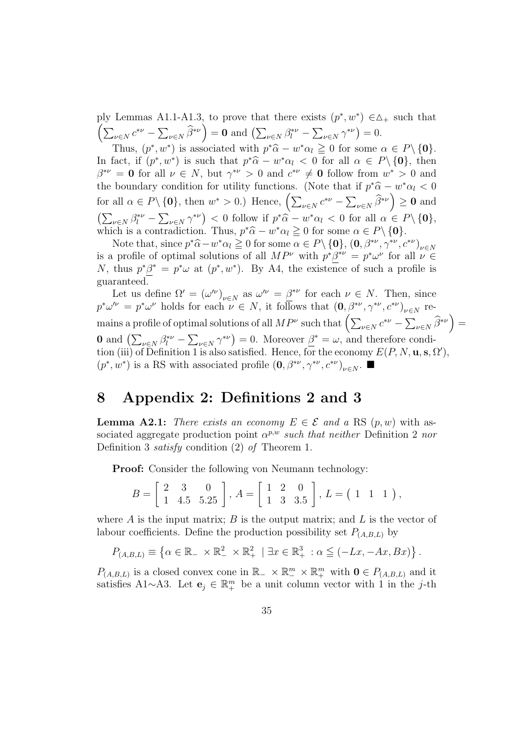ply Lemmas A1.1-A1.3, to prove that there exists  $(p^*, w^*) \in \Delta_+$  such that piy<br>(  $\sum_{\nu\in N} c^{*\nu} - \sum$  $(\hat{\beta}^*\nu) = 0$  and  $(\sum_{\nu \in N} \hat{\beta}_l^*\nu \overline{ }$  $v ∈ N^{\gamma^{*\nu}}$  $= 0.$ 

Thus,  $(p^*, w^*)$  is associated with  $p^* \hat{\alpha} - w^* \alpha_l \geq 0$  for some  $\alpha \in P \setminus \{0\}.$ In fact, if  $(p^*, w^*)$  is such that  $p^* \hat{\alpha} - w^* \alpha_l < 0$  for all  $\alpha \in P \setminus \{0\}$ , then  $\beta^{*\nu} = 0$  for all  $\nu \in N$ , but  $\gamma^{*\nu} > 0$  and  $c^{*\nu} \neq 0$  follow from  $w^* > 0$  and the boundary condition for utility functions. (Note that if  $p^*\hat{\alpha} - w^*\alpha_l < 0$ the boundary condition for utility functions. (Note that for all  $\alpha \in P \setminus \{0\}$ , then  $w^* > 0$ .) Hence,  $\left( \sum_{\nu \in N} c^{*\nu} - \sum_{\nu \in N} \nu^* \right)$  $_{\nu \in N}$   $\widehat{\beta}^{*\nu}$   $\geq 0$  and  $\sum$  $_{\nu \in N}$   $\beta_l^{*\nu}$  –  $\overline{ }$  $v ∈ N \gamma^{*\nu}$  $< 0$  follow if  $p^*\hat{\alpha} - w^*\alpha_l < 0$  for all  $\alpha \in P \setminus \{0\},$ which is a contradiction. Thus,  $p^*\hat{\alpha} - w^*\alpha_l \ge 0$  for some  $\alpha \in P \setminus \{0\}.$ 

Note that, since  $p^*\hat{\alpha} - w^*\alpha_l \ge 0$  for some  $\alpha \in P \setminus \{0\}$ ,  $(0, \beta^{*\nu}, \gamma^{*\nu}, c^{*\nu})_{\nu \in N}$ is a profile of optimal solutions of all  $MP^{\nu}$  with  $p^*\beta^{*\nu} = p^*\omega^{\nu}$  for all  $\nu \in$ N, thus  $p^*\beta^* = p^*\omega$  at  $(p^*, w^*)$ . By A4, the existence of such a profile is guaranteed.

Let us define  $\Omega' = (\omega'^{\nu})_{\nu \in N}$  as  $\omega'^{\nu} = \underline{\beta}^{*\nu}$  for each  $\nu \in N$ . Then, since  $p^*\omega'^\nu = p^*\omega^\nu$  holds for each  $\nu \in N$ , it follows that  $(0, \beta^{*\nu}, \gamma^{*\nu}, c^{*\nu})_{\nu \in N}$  re $p \omega = p \omega$  holds for each  $\nu \in \mathbb{N}$ , it follows that  $(\mathbf{0}, \rho^-, \gamma^-, c^-)_{\nu \in \mathbb{N}}$ <br>mains a profile of optimal solutions of all  $MP^{\nu}$  such that  $\left(\sum_{\nu \in \mathbb{N}} c^{*\nu} - \sum_{\nu \in \mathbb{N}} \nu \right)$ ν $\in$ Ν  $\widehat{\beta}^{*\nu}$ ´ = **0** and  $\left(\sum_{\nu \in N} \beta_l^{*\nu} - \right)$  $\overline{ }$  $(\psi \in N \gamma^{*\nu}) = 0$ . Moreover  $\beta^* = \omega$ , and therefore condi- $\tilde{a}$ tion (iii) of Definition 1 is also satisfied. Hence, for the economy  $E(P, N, \mathbf{u}, \mathbf{s}, \Omega')$ ,  $(p^*, w^*)$  is a RS with associated profile  $(0, \beta^{*\nu}, \gamma^{*\nu}, c^{*\nu})_{\nu \in N}$ . ■

#### 8 Appendix 2: Definitions 2 and 3

**Lemma A2.1:** There exists an economy  $E \in \mathcal{E}$  and a RS  $(p, w)$  with associated aggregate production point  $\alpha^{p,w}$  such that neither Definition 2 nor Definition 3 satisfy condition (2) of Theorem 1.

Proof: Consider the following von Neumann technology:

$$
B = \begin{bmatrix} 2 & 3 & 0 \\ 1 & 4.5 & 5.25 \end{bmatrix}, A = \begin{bmatrix} 1 & 2 & 0 \\ 1 & 3 & 3.5 \end{bmatrix}, L = \begin{bmatrix} 1 & 1 & 1 \end{bmatrix},
$$

where  $A$  is the input matrix;  $B$  is the output matrix; and  $L$  is the vector of labour coefficients. Define the production possibility set  $P_{(A,B,L)}$  by

$$
P_{(A,B,L)} \equiv \left\{ \alpha \in \mathbb{R}_- \times \mathbb{R}_-^2 \times \mathbb{R}_+^2 \mid \exists x \in \mathbb{R}_+^3 : \alpha \leq (-Lx, -Ax, Bx) \right\}.
$$

 $P_{(A,B,L)}$  is a closed convex cone in  $\mathbb{R}_- \times \mathbb{R}^m_+ \times \mathbb{R}^m_+$  with  $\mathbf{0} \in P_{(A,B,L)}$  and it satisfies A1∼A3. Let  $e_j \in \mathbb{R}^m_+$  be a unit column vector with 1 in the j-th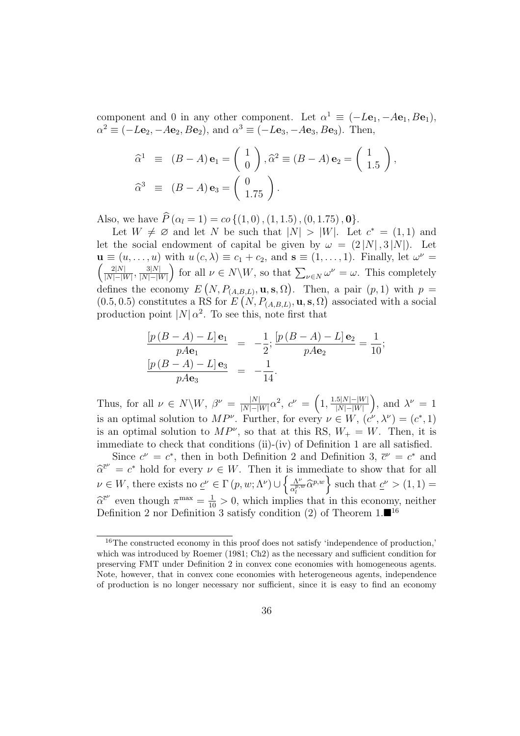component and 0 in any other component. Let  $\alpha^1 \equiv (-L\mathbf{e}_1, -A\mathbf{e}_1, B\mathbf{e}_1),$  $\alpha^2 \equiv (-L\mathbf{e}_2, -A\mathbf{e}_2, B\mathbf{e}_2)$ , and  $\alpha^3 \equiv (-L\mathbf{e}_3, -A\mathbf{e}_3, B\mathbf{e}_3)$ . Then,

$$
\widehat{\alpha}^{1} \equiv (B - A) \mathbf{e}_{1} = \begin{pmatrix} 1 \\ 0 \end{pmatrix}, \widehat{\alpha}^{2} \equiv (B - A) \mathbf{e}_{2} = \begin{pmatrix} 1 \\ 1.5 \end{pmatrix},
$$
  

$$
\widehat{\alpha}^{3} \equiv (B - A) \mathbf{e}_{3} = \begin{pmatrix} 0 \\ 1.75 \end{pmatrix}.
$$

Also, we have  $\widehat{P}(\alpha_l = 1) = co\{(1,0),(1,1.5),(0,1.75),\mathbf{0}\}.$ 

Let  $W \neq \emptyset$  and let N be such that  $|N| > |W|$ . Let  $c^* = (1, 1)$  and let the social endowment of capital be given by  $\omega = (2|N|, 3|N|)$ . Let  $\mathbf{u} \equiv (u, \dots, u)$  with  $u(c, \lambda) \equiv c_1 + c_2$ , and  $\mathbf{s} \equiv (1, \dots, 1)$ . Finally, let  $\omega^{\nu} =$  $2|N|$  $\frac{2|N|}{|N|-|W|}, \frac{3|N|}{|N|-|V|}$  $\frac{3|N|}{|N|-|W|}$  for all  $\nu \in N\backslash W$ , so that  $\sum_{\nu \in N} \omega^{\nu} = \omega$ . This completely defines the economy  $E(N, P_{(A,B,L)}, \mathbf{u}, \mathbf{s}, \Omega)$ . Then, a pair  $(p, 1)$  with  $p =$  $(x - 1)$  $(0.5, 0.5)$  constitutes a RS for  $E(N, P_{(A,B,L)}, \mathbf{u}, \mathbf{s}, \Omega)$  associated with a social production point  $|N| \alpha^2$ . To see this, note first that

$$
\frac{[p (B - A) - L] \mathbf{e}_1}{p A \mathbf{e}_1} = -\frac{1}{2}; \frac{[p (B - A) - L] \mathbf{e}_2}{p A \mathbf{e}_2} = \frac{1}{10};
$$
  

$$
\frac{[p (B - A) - L] \mathbf{e}_3}{p A \mathbf{e}_3} = -\frac{1}{14}.
$$

Thus, for all  $\nu \in N \backslash W$ ,  $\beta^{\nu} = \frac{|N|}{|N| - |N|}$  $\frac{|N|}{|N|-|W|}\alpha^2, c^{\nu} =$  $\overline{a}$  $1, \frac{1.5|N|-|W|}{|N|-|W|}$  $|N|-|W|$ ´ , and  $\lambda^{\nu} = 1$ is an optimal solution to  $MP^{\nu}$ . Further, for every  $\nu \in W$ ,  $(c^{\nu}, \lambda^{\nu}) = (c^*, 1)$ is an optimal solution to  $MP^{\nu}$ , so that at this RS,  $W_{+} = W$ . Then, it is immediate to check that conditions (ii)-(iv) of Definition 1 are all satisfied.

Since  $c^{\nu} = c^*$ , then in both Definition 2 and Definition 3,  $\bar{c}^{\nu} = c^*$  and  $\hat{\alpha}^{\bar{c}^{\nu}} = c^*$  hold for every  $\nu \in W$ . Then it is immediate to show that for all  $\nu \in W$ , there exists no  $\underline{c}^{\nu} \in \Gamma(p, w; \Lambda^{\nu}) \cup \big\{\frac{\Lambda^{\nu}}{c^{p,q}}\big\}$ s immediate to show that for all<br> $\frac{\Lambda^{\nu}}{\alpha_i^{p,w}} \widehat{\alpha}_i^{p,w}$  such that  $\underline{c}^{\nu} > (1,1)$  $\hat{\alpha}^{\bar{c}^{\nu}}$  even though  $\pi^{\max} = \frac{1}{10} > 0$ , which implies that in this economy, neither Definition 2 nor Definition 3 satisfy condition (2) of Theorem  $1.\blacksquare^{16}$ 

<sup>&</sup>lt;sup>16</sup>The constructed economy in this proof does not satisfy 'independence of production,' which was introduced by Roemer (1981; Ch2) as the necessary and sufficient condition for preserving FMT under Definition 2 in convex cone economies with homogeneous agents. Note, however, that in convex cone economies with heterogeneous agents, independence of production is no longer necessary nor sufficient, since it is easy to find an economy